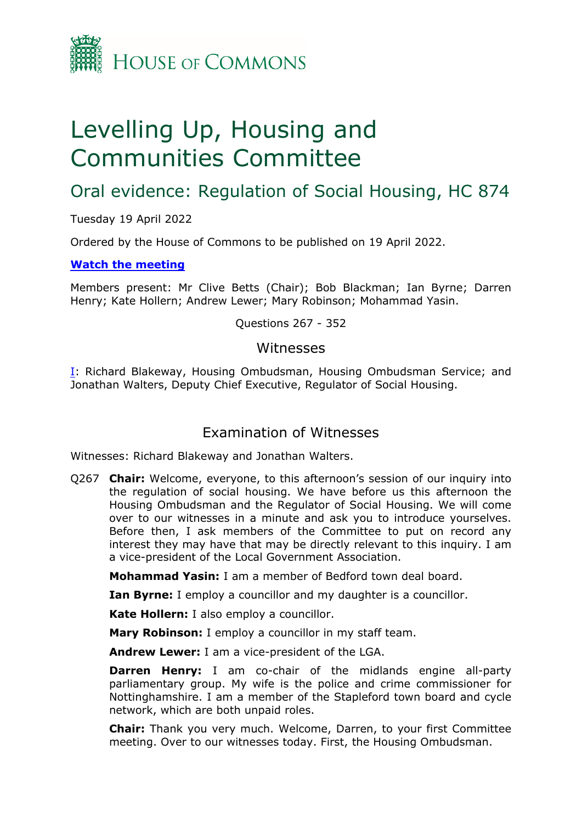

# Levelling Up, Housing and Communities Committee

## Oral evidence: Regulation of Social Housing, HC 874

Tuesday 19 April 2022

Ordered by the House of Commons to be published on 19 April 2022.

#### **[Watch](https://www.parliamentlive.tv/Event/Index/ea395347-2712-4d0e-8f82-401d57f83fd6) [the](https://www.parliamentlive.tv/Event/Index/ea395347-2712-4d0e-8f82-401d57f83fd6) [meeting](https://www.parliamentlive.tv/Event/Index/ea395347-2712-4d0e-8f82-401d57f83fd6)**

Members present: Mr Clive Betts (Chair); Bob Blackman; Ian Byrne; Darren Henry; Kate Hollern; Andrew Lewer; Mary Robinson; Mohammad Yasin.

Questions 267 - 352

#### Witnesses

[I:](#page-0-0) Richard Blakeway, Housing Ombudsman, Housing Ombudsman Service; and Jonathan Walters, Deputy Chief Executive, Regulator of Social Housing.

### <span id="page-0-0"></span>Examination of Witnesses

Witnesses: Richard Blakeway and Jonathan Walters.

Q267 **Chair:** Welcome, everyone, to this afternoon's session of our inquiry into the regulation of social housing. We have before us this afternoon the Housing Ombudsman and the Regulator of Social Housing. We will come over to our witnesses in a minute and ask you to introduce yourselves. Before then, I ask members of the Committee to put on record any interest they may have that may be directly relevant to this inquiry. I am a vice-president of the Local Government Association.

**Mohammad Yasin:** I am a member of Bedford town deal board.

**Ian Byrne:** I employ a councillor and my daughter is a councillor.

**Kate Hollern:** I also employ a councillor.

**Mary Robinson:** I employ a councillor in my staff team.

**Andrew Lewer:** I am a vice-president of the LGA.

**Darren Henry:** I am co-chair of the midlands engine all-party parliamentary group. My wife is the police and crime commissioner for Nottinghamshire. I am a member of the Stapleford town board and cycle network, which are both unpaid roles.

**Chair:** Thank you very much. Welcome, Darren, to your first Committee meeting. Over to our witnesses today. First, the Housing Ombudsman.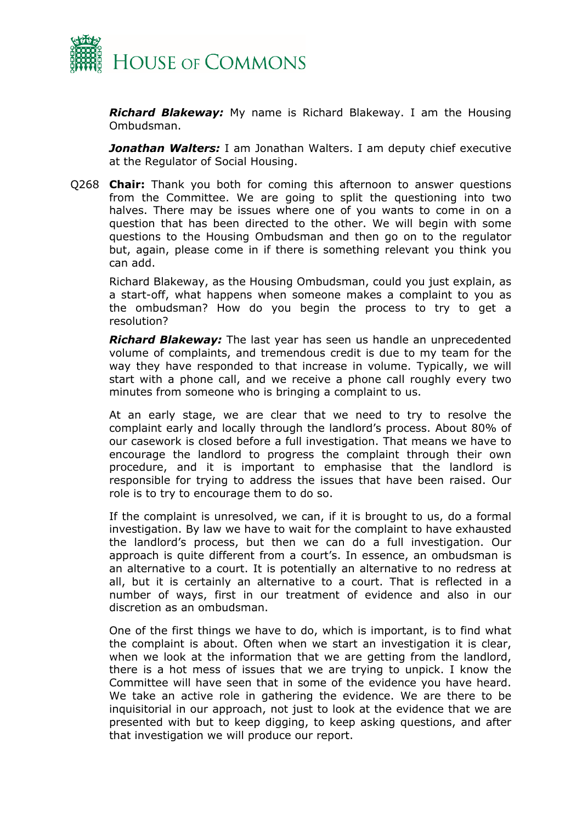

*Richard Blakeway:* My name is Richard Blakeway. I am the Housing Ombudsman.

*Jonathan Walters:* I am Jonathan Walters. I am deputy chief executive at the Regulator of Social Housing.

Q268 **Chair:** Thank you both for coming this afternoon to answer questions from the Committee. We are going to split the questioning into two halves. There may be issues where one of you wants to come in on a question that has been directed to the other. We will begin with some questions to the Housing Ombudsman and then go on to the regulator but, again, please come in if there is something relevant you think you can add.

Richard Blakeway, as the Housing Ombudsman, could you just explain, as a start-off, what happens when someone makes a complaint to you as the ombudsman? How do you begin the process to try to get a resolution?

*Richard Blakeway:* The last year has seen us handle an unprecedented volume of complaints, and tremendous credit is due to my team for the way they have responded to that increase in volume. Typically, we will start with a phone call, and we receive a phone call roughly every two minutes from someone who is bringing a complaint to us.

At an early stage, we are clear that we need to try to resolve the complaint early and locally through the landlord's process. About 80% of our casework is closed before a full investigation. That means we have to encourage the landlord to progress the complaint through their own procedure, and it is important to emphasise that the landlord is responsible for trying to address the issues that have been raised. Our role is to try to encourage them to do so.

If the complaint is unresolved, we can, if it is brought to us, do a formal investigation. By law we have to wait for the complaint to have exhausted the landlord's process, but then we can do a full investigation. Our approach is quite different from a court's. In essence, an ombudsman is an alternative to a court. It is potentially an alternative to no redress at all, but it is certainly an alternative to a court. That is reflected in a number of ways, first in our treatment of evidence and also in our discretion as an ombudsman.

One of the first things we have to do, which is important, is to find what the complaint is about. Often when we start an investigation it is clear, when we look at the information that we are getting from the landlord, there is a hot mess of issues that we are trying to unpick. I know the Committee will have seen that in some of the evidence you have heard. We take an active role in gathering the evidence. We are there to be inquisitorial in our approach, not just to look at the evidence that we are presented with but to keep digging, to keep asking questions, and after that investigation we will produce our report.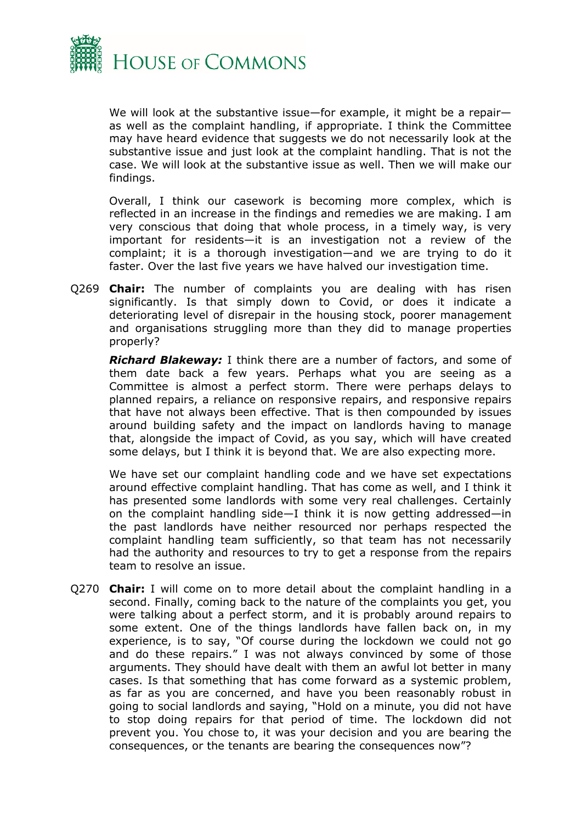

We will look at the substantive issue—for example, it might be a repair as well as the complaint handling, if appropriate. I think the Committee may have heard evidence that suggests we do not necessarily look at the substantive issue and just look at the complaint handling. That is not the case. We will look at the substantive issue as well. Then we will make our findings.

Overall, I think our casework is becoming more complex, which is reflected in an increase in the findings and remedies we are making. I am very conscious that doing that whole process, in a timely way, is very important for residents—it is an investigation not a review of the complaint; it is a thorough investigation—and we are trying to do it faster. Over the last five years we have halved our investigation time.

Q269 **Chair:** The number of complaints you are dealing with has risen significantly. Is that simply down to Covid, or does it indicate a deteriorating level of disrepair in the housing stock, poorer management and organisations struggling more than they did to manage properties properly?

*Richard Blakeway:* I think there are a number of factors, and some of them date back a few years. Perhaps what you are seeing as a Committee is almost a perfect storm. There were perhaps delays to planned repairs, a reliance on responsive repairs, and responsive repairs that have not always been effective. That is then compounded by issues around building safety and the impact on landlords having to manage that, alongside the impact of Covid, as you say, which will have created some delays, but I think it is beyond that. We are also expecting more.

We have set our complaint handling code and we have set expectations around effective complaint handling. That has come as well, and I think it has presented some landlords with some very real challenges. Certainly on the complaint handling side—I think it is now getting addressed—in the past landlords have neither resourced nor perhaps respected the complaint handling team sufficiently, so that team has not necessarily had the authority and resources to try to get a response from the repairs team to resolve an issue.

Q270 **Chair:** I will come on to more detail about the complaint handling in a second. Finally, coming back to the nature of the complaints you get, you were talking about a perfect storm, and it is probably around repairs to some extent. One of the things landlords have fallen back on, in my experience, is to say, "Of course during the lockdown we could not go and do these repairs." I was not always convinced by some of those arguments. They should have dealt with them an awful lot better in many cases. Is that something that has come forward as a systemic problem, as far as you are concerned, and have you been reasonably robust in going to social landlords and saying, "Hold on a minute, you did not have to stop doing repairs for that period of time. The lockdown did not prevent you. You chose to, it was your decision and you are bearing the consequences, or the tenants are bearing the consequences now"?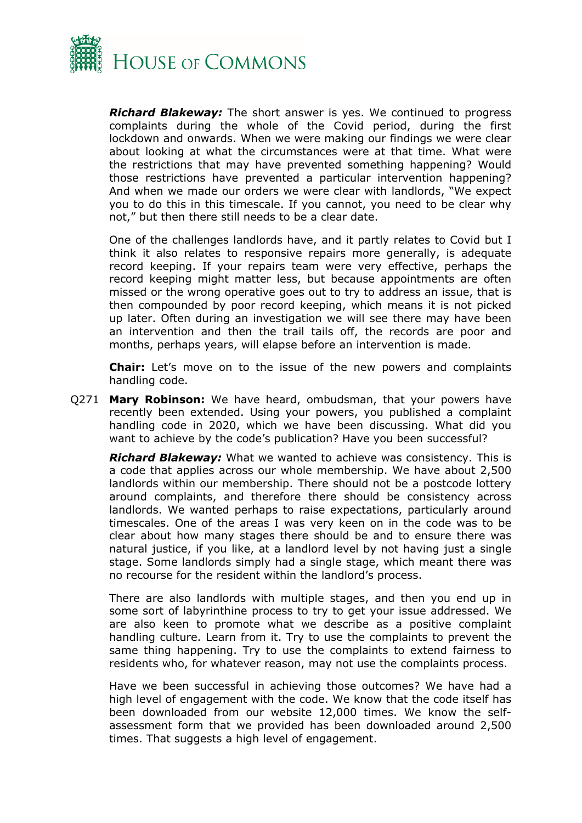

*Richard Blakeway:* The short answer is yes. We continued to progress complaints during the whole of the Covid period, during the first lockdown and onwards. When we were making our findings we were clear about looking at what the circumstances were at that time. What were the restrictions that may have prevented something happening? Would those restrictions have prevented a particular intervention happening? And when we made our orders we were clear with landlords, "We expect you to do this in this timescale. If you cannot, you need to be clear why not," but then there still needs to be a clear date.

One of the challenges landlords have, and it partly relates to Covid but I think it also relates to responsive repairs more generally, is adequate record keeping. If your repairs team were very effective, perhaps the record keeping might matter less, but because appointments are often missed or the wrong operative goes out to try to address an issue, that is then compounded by poor record keeping, which means it is not picked up later. Often during an investigation we will see there may have been an intervention and then the trail tails off, the records are poor and months, perhaps years, will elapse before an intervention is made.

**Chair:** Let's move on to the issue of the new powers and complaints handling code.

Q271 **Mary Robinson:** We have heard, ombudsman, that your powers have recently been extended. Using your powers, you published a complaint handling code in 2020, which we have been discussing. What did you want to achieve by the code's publication? Have you been successful?

*Richard Blakeway:* What we wanted to achieve was consistency. This is a code that applies across our whole membership. We have about 2,500 landlords within our membership. There should not be a postcode lottery around complaints, and therefore there should be consistency across landlords. We wanted perhaps to raise expectations, particularly around timescales. One of the areas I was very keen on in the code was to be clear about how many stages there should be and to ensure there was natural justice, if you like, at a landlord level by not having just a single stage. Some landlords simply had a single stage, which meant there was no recourse for the resident within the landlord's process.

There are also landlords with multiple stages, and then you end up in some sort of labyrinthine process to try to get your issue addressed. We are also keen to promote what we describe as a positive complaint handling culture. Learn from it. Try to use the complaints to prevent the same thing happening. Try to use the complaints to extend fairness to residents who, for whatever reason, may not use the complaints process.

Have we been successful in achieving those outcomes? We have had a high level of engagement with the code. We know that the code itself has been downloaded from our website 12,000 times. We know the selfassessment form that we provided has been downloaded around 2,500 times. That suggests a high level of engagement.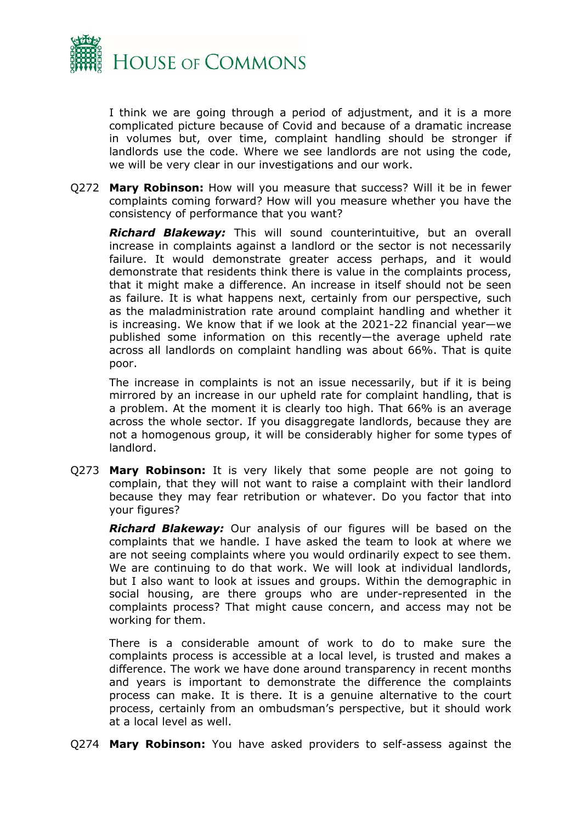

I think we are going through a period of adjustment, and it is a more complicated picture because of Covid and because of a dramatic increase in volumes but, over time, complaint handling should be stronger if landlords use the code. Where we see landlords are not using the code, we will be very clear in our investigations and our work.

Q272 **Mary Robinson:** How will you measure that success? Will it be in fewer complaints coming forward? How will you measure whether you have the consistency of performance that you want?

*Richard Blakeway:* This will sound counterintuitive, but an overall increase in complaints against a landlord or the sector is not necessarily failure. It would demonstrate greater access perhaps, and it would demonstrate that residents think there is value in the complaints process, that it might make a difference. An increase in itself should not be seen as failure. It is what happens next, certainly from our perspective, such as the maladministration rate around complaint handling and whether it is increasing. We know that if we look at the 2021-22 financial year—we published some information on this recently—the average upheld rate across all landlords on complaint handling was about 66%. That is quite poor.

The increase in complaints is not an issue necessarily, but if it is being mirrored by an increase in our upheld rate for complaint handling, that is a problem. At the moment it is clearly too high. That 66% is an average across the whole sector. If you disaggregate landlords, because they are not a homogenous group, it will be considerably higher for some types of landlord.

Q273 **Mary Robinson:** It is very likely that some people are not going to complain, that they will not want to raise a complaint with their landlord because they may fear retribution or whatever. Do you factor that into your figures?

*Richard Blakeway:* Our analysis of our figures will be based on the complaints that we handle. I have asked the team to look at where we are not seeing complaints where you would ordinarily expect to see them. We are continuing to do that work. We will look at individual landlords, but I also want to look at issues and groups. Within the demographic in social housing, are there groups who are under-represented in the complaints process? That might cause concern, and access may not be working for them.

There is a considerable amount of work to do to make sure the complaints process is accessible at a local level, is trusted and makes a difference. The work we have done around transparency in recent months and years is important to demonstrate the difference the complaints process can make. It is there. It is a genuine alternative to the court process, certainly from an ombudsman's perspective, but it should work at a local level as well.

Q274 **Mary Robinson:** You have asked providers to self-assess against the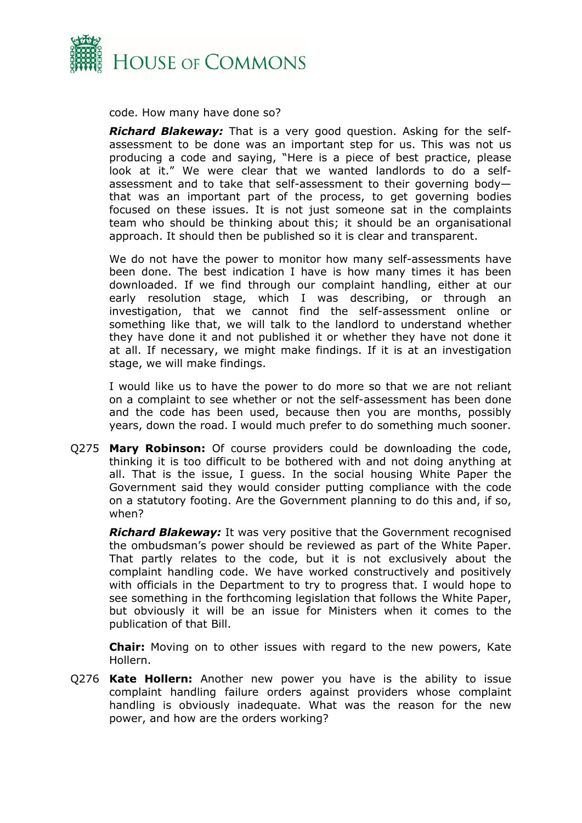

code. How many have done so?

*Richard Blakeway:* That is a very good question. Asking for the selfassessment to be done was an important step for us. This was not us producing a code and saying, "Here is a piece of best practice, please look at it." We were clear that we wanted landlords to do a selfassessment and to take that self-assessment to their governing body that was an important part of the process, to get governing bodies focused on these issues. It is not just someone sat in the complaints team who should be thinking about this; it should be an organisational approach. It should then be published so it is clear and transparent.

We do not have the power to monitor how many self-assessments have been done. The best indication I have is how many times it has been downloaded. If we find through our complaint handling, either at our early resolution stage, which I was describing, or through an investigation, that we cannot find the self-assessment online or something like that, we will talk to the landlord to understand whether they have done it and not published it or whether they have not done it at all. If necessary, we might make findings. If it is at an investigation stage, we will make findings.

I would like us to have the power to do more so that we are not reliant on a complaint to see whether or not the self-assessment has been done and the code has been used, because then you are months, possibly years, down the road. I would much prefer to do something much sooner.

Q275 **Mary Robinson:** Of course providers could be downloading the code, thinking it is too difficult to be bothered with and not doing anything at all. That is the issue, I guess. In the social housing White Paper the Government said they would consider putting compliance with the code on a statutory footing. Are the Government planning to do this and, if so, when?

*Richard Blakeway:* It was very positive that the Government recognised the ombudsman's power should be reviewed as part of the White Paper. That partly relates to the code, but it is not exclusively about the complaint handling code. We have worked constructively and positively with officials in the Department to try to progress that. I would hope to see something in the forthcoming legislation that follows the White Paper, but obviously it will be an issue for Ministers when it comes to the publication of that Bill.

**Chair:** Moving on to other issues with regard to the new powers, Kate Hollern.

Q276 **Kate Hollern:** Another new power you have is the ability to issue complaint handling failure orders against providers whose complaint handling is obviously inadequate. What was the reason for the new power, and how are the orders working?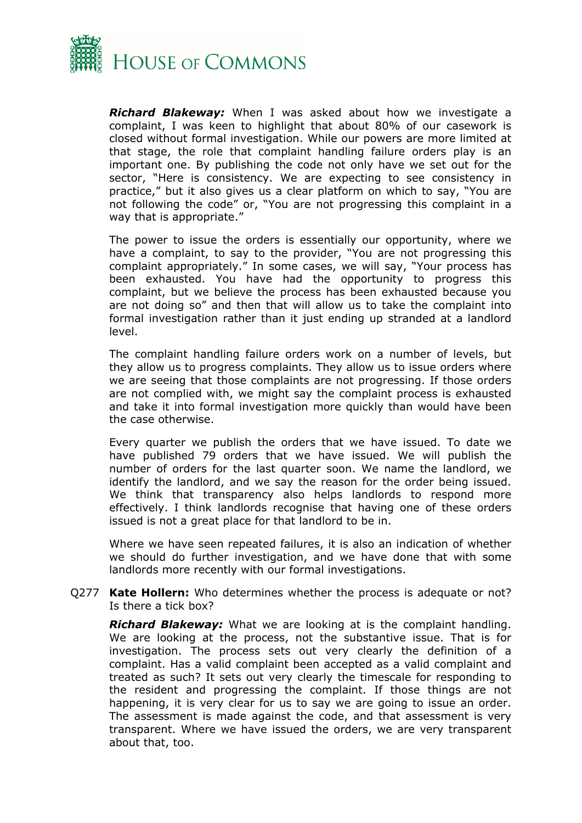

*Richard Blakeway:* When I was asked about how we investigate a complaint, I was keen to highlight that about 80% of our casework is closed without formal investigation. While our powers are more limited at that stage, the role that complaint handling failure orders play is an important one. By publishing the code not only have we set out for the sector, "Here is consistency. We are expecting to see consistency in practice," but it also gives us a clear platform on which to say, "You are not following the code" or, "You are not progressing this complaint in a way that is appropriate."

The power to issue the orders is essentially our opportunity, where we have a complaint, to say to the provider, "You are not progressing this complaint appropriately." In some cases, we will say, "Your process has been exhausted. You have had the opportunity to progress this complaint, but we believe the process has been exhausted because you are not doing so" and then that will allow us to take the complaint into formal investigation rather than it just ending up stranded at a landlord level.

The complaint handling failure orders work on a number of levels, but they allow us to progress complaints. They allow us to issue orders where we are seeing that those complaints are not progressing. If those orders are not complied with, we might say the complaint process is exhausted and take it into formal investigation more quickly than would have been the case otherwise.

Every quarter we publish the orders that we have issued. To date we have published 79 orders that we have issued. We will publish the number of orders for the last quarter soon. We name the landlord, we identify the landlord, and we say the reason for the order being issued. We think that transparency also helps landlords to respond more effectively. I think landlords recognise that having one of these orders issued is not a great place for that landlord to be in.

Where we have seen repeated failures, it is also an indication of whether we should do further investigation, and we have done that with some landlords more recently with our formal investigations.

Q277 **Kate Hollern:** Who determines whether the process is adequate or not? Is there a tick box?

*Richard Blakeway:* What we are looking at is the complaint handling. We are looking at the process, not the substantive issue. That is for investigation. The process sets out very clearly the definition of a complaint. Has a valid complaint been accepted as a valid complaint and treated as such? It sets out very clearly the timescale for responding to the resident and progressing the complaint. If those things are not happening, it is very clear for us to say we are going to issue an order. The assessment is made against the code, and that assessment is very transparent. Where we have issued the orders, we are very transparent about that, too.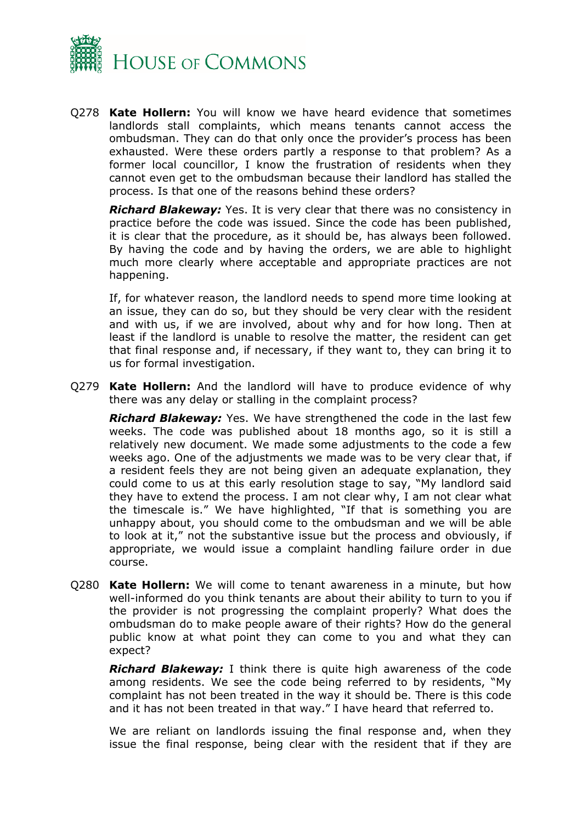

Q278 **Kate Hollern:** You will know we have heard evidence that sometimes landlords stall complaints, which means tenants cannot access the ombudsman. They can do that only once the provider's process has been exhausted. Were these orders partly a response to that problem? As a former local councillor, I know the frustration of residents when they cannot even get to the ombudsman because their landlord has stalled the process. Is that one of the reasons behind these orders?

*Richard Blakeway:* Yes. It is very clear that there was no consistency in practice before the code was issued. Since the code has been published, it is clear that the procedure, as it should be, has always been followed. By having the code and by having the orders, we are able to highlight much more clearly where acceptable and appropriate practices are not happening.

If, for whatever reason, the landlord needs to spend more time looking at an issue, they can do so, but they should be very clear with the resident and with us, if we are involved, about why and for how long. Then at least if the landlord is unable to resolve the matter, the resident can get that final response and, if necessary, if they want to, they can bring it to us for formal investigation.

Q279 **Kate Hollern:** And the landlord will have to produce evidence of why there was any delay or stalling in the complaint process?

*Richard Blakeway:* Yes. We have strengthened the code in the last few weeks. The code was published about 18 months ago, so it is still a relatively new document. We made some adjustments to the code a few weeks ago. One of the adjustments we made was to be very clear that, if a resident feels they are not being given an adequate explanation, they could come to us at this early resolution stage to say, "My landlord said they have to extend the process. I am not clear why, I am not clear what the timescale is." We have highlighted, "If that is something you are unhappy about, you should come to the ombudsman and we will be able to look at it," not the substantive issue but the process and obviously, if appropriate, we would issue a complaint handling failure order in due course.

Q280 **Kate Hollern:** We will come to tenant awareness in a minute, but how well-informed do you think tenants are about their ability to turn to you if the provider is not progressing the complaint properly? What does the ombudsman do to make people aware of their rights? How do the general public know at what point they can come to you and what they can expect?

*Richard Blakeway:* I think there is quite high awareness of the code among residents. We see the code being referred to by residents, "My complaint has not been treated in the way it should be. There is this code and it has not been treated in that way." I have heard that referred to.

We are reliant on landlords issuing the final response and, when they issue the final response, being clear with the resident that if they are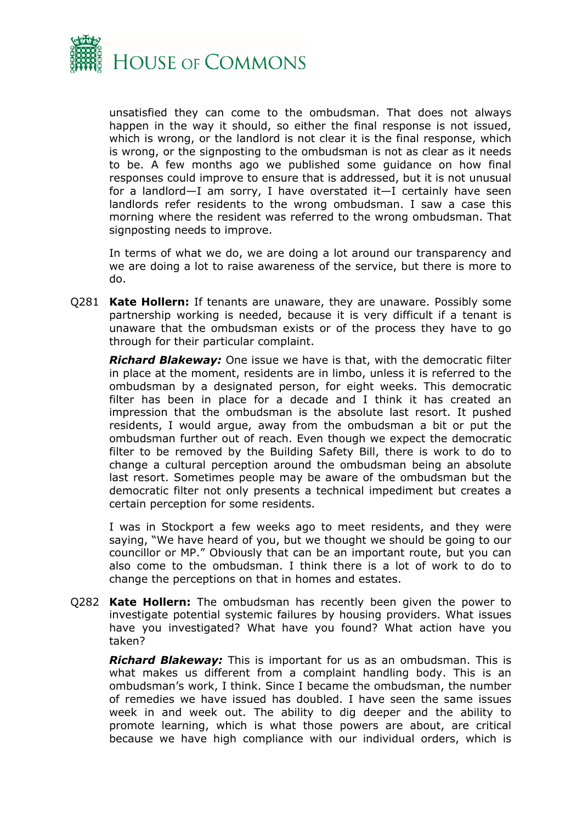

unsatisfied they can come to the ombudsman. That does not always happen in the way it should, so either the final response is not issued, which is wrong, or the landlord is not clear it is the final response, which is wrong, or the signposting to the ombudsman is not as clear as it needs to be. A few months ago we published some guidance on how final responses could improve to ensure that is addressed, but it is not unusual for a landlord—I am sorry, I have overstated it—I certainly have seen landlords refer residents to the wrong ombudsman. I saw a case this morning where the resident was referred to the wrong ombudsman. That signposting needs to improve.

In terms of what we do, we are doing a lot around our transparency and we are doing a lot to raise awareness of the service, but there is more to do.

Q281 **Kate Hollern:** If tenants are unaware, they are unaware. Possibly some partnership working is needed, because it is very difficult if a tenant is unaware that the ombudsman exists or of the process they have to go through for their particular complaint.

*Richard Blakeway:* One issue we have is that, with the democratic filter in place at the moment, residents are in limbo, unless it is referred to the ombudsman by a designated person, for eight weeks. This democratic filter has been in place for a decade and I think it has created an impression that the ombudsman is the absolute last resort. It pushed residents, I would argue, away from the ombudsman a bit or put the ombudsman further out of reach. Even though we expect the democratic filter to be removed by the Building Safety Bill, there is work to do to change a cultural perception around the ombudsman being an absolute last resort. Sometimes people may be aware of the ombudsman but the democratic filter not only presents a technical impediment but creates a certain perception for some residents.

I was in Stockport a few weeks ago to meet residents, and they were saying, "We have heard of you, but we thought we should be going to our councillor or MP." Obviously that can be an important route, but you can also come to the ombudsman. I think there is a lot of work to do to change the perceptions on that in homes and estates.

Q282 **Kate Hollern:** The ombudsman has recently been given the power to investigate potential systemic failures by housing providers. What issues have you investigated? What have you found? What action have you taken?

*Richard Blakeway:* This is important for us as an ombudsman. This is what makes us different from a complaint handling body. This is an ombudsman's work, I think. Since I became the ombudsman, the number of remedies we have issued has doubled. I have seen the same issues week in and week out. The ability to dig deeper and the ability to promote learning, which is what those powers are about, are critical because we have high compliance with our individual orders, which is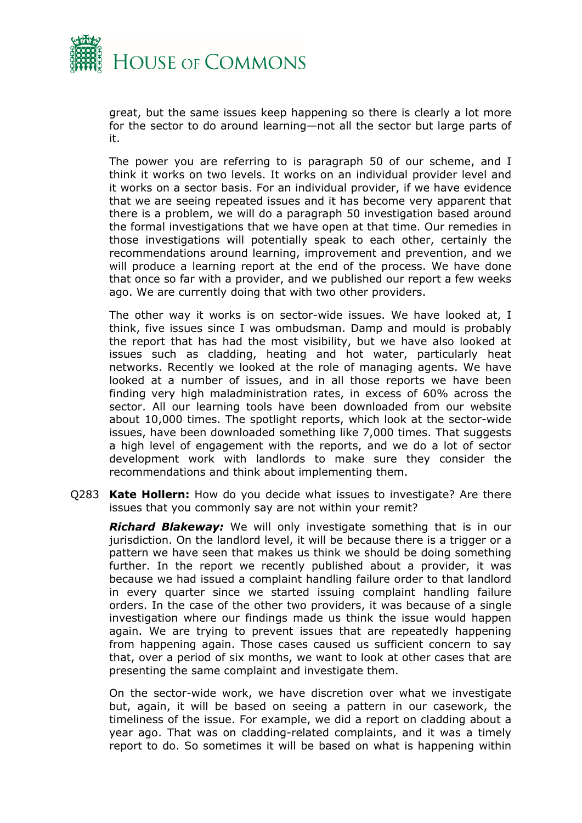

great, but the same issues keep happening so there is clearly a lot more for the sector to do around learning—not all the sector but large parts of it.

The power you are referring to is paragraph 50 of our scheme, and I think it works on two levels. It works on an individual provider level and it works on a sector basis. For an individual provider, if we have evidence that we are seeing repeated issues and it has become very apparent that there is a problem, we will do a paragraph 50 investigation based around the formal investigations that we have open at that time. Our remedies in those investigations will potentially speak to each other, certainly the recommendations around learning, improvement and prevention, and we will produce a learning report at the end of the process. We have done that once so far with a provider, and we published our report a few weeks ago. We are currently doing that with two other providers.

The other way it works is on sector-wide issues. We have looked at, I think, five issues since I was ombudsman. Damp and mould is probably the report that has had the most visibility, but we have also looked at issues such as cladding, heating and hot water, particularly heat networks. Recently we looked at the role of managing agents. We have looked at a number of issues, and in all those reports we have been finding very high maladministration rates, in excess of 60% across the sector. All our learning tools have been downloaded from our website about 10,000 times. The spotlight reports, which look at the sector-wide issues, have been downloaded something like 7,000 times. That suggests a high level of engagement with the reports, and we do a lot of sector development work with landlords to make sure they consider the recommendations and think about implementing them.

Q283 **Kate Hollern:** How do you decide what issues to investigate? Are there issues that you commonly say are not within your remit?

*Richard Blakeway:* We will only investigate something that is in our jurisdiction. On the landlord level, it will be because there is a trigger or a pattern we have seen that makes us think we should be doing something further. In the report we recently published about a provider, it was because we had issued a complaint handling failure order to that landlord in every quarter since we started issuing complaint handling failure orders. In the case of the other two providers, it was because of a single investigation where our findings made us think the issue would happen again. We are trying to prevent issues that are repeatedly happening from happening again. Those cases caused us sufficient concern to say that, over a period of six months, we want to look at other cases that are presenting the same complaint and investigate them.

On the sector-wide work, we have discretion over what we investigate but, again, it will be based on seeing a pattern in our casework, the timeliness of the issue. For example, we did a report on cladding about a year ago. That was on cladding-related complaints, and it was a timely report to do. So sometimes it will be based on what is happening within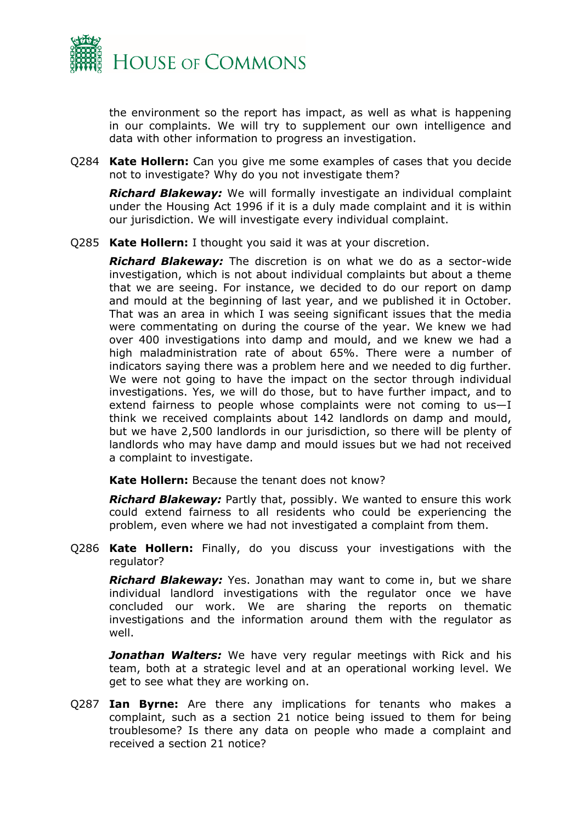

the environment so the report has impact, as well as what is happening in our complaints. We will try to supplement our own intelligence and data with other information to progress an investigation.

Q284 **Kate Hollern:** Can you give me some examples of cases that you decide not to investigate? Why do you not investigate them?

*Richard Blakeway:* We will formally investigate an individual complaint under the Housing Act 1996 if it is a duly made complaint and it is within our jurisdiction. We will investigate every individual complaint.

Q285 **Kate Hollern:** I thought you said it was at your discretion.

*Richard Blakeway:* The discretion is on what we do as a sector-wide investigation, which is not about individual complaints but about a theme that we are seeing. For instance, we decided to do our report on damp and mould at the beginning of last year, and we published it in October. That was an area in which I was seeing significant issues that the media were commentating on during the course of the year. We knew we had over 400 investigations into damp and mould, and we knew we had a high maladministration rate of about 65%. There were a number of indicators saying there was a problem here and we needed to dig further. We were not going to have the impact on the sector through individual investigations. Yes, we will do those, but to have further impact, and to extend fairness to people whose complaints were not coming to  $us-I$ think we received complaints about 142 landlords on damp and mould, but we have 2,500 landlords in our jurisdiction, so there will be plenty of landlords who may have damp and mould issues but we had not received a complaint to investigate.

**Kate Hollern:** Because the tenant does not know?

*Richard Blakeway:* Partly that, possibly. We wanted to ensure this work could extend fairness to all residents who could be experiencing the problem, even where we had not investigated a complaint from them.

Q286 **Kate Hollern:** Finally, do you discuss your investigations with the regulator?

*Richard Blakeway:* Yes. Jonathan may want to come in, but we share individual landlord investigations with the regulator once we have concluded our work. We are sharing the reports on thematic investigations and the information around them with the regulator as well.

**Jonathan Walters:** We have very regular meetings with Rick and his team, both at a strategic level and at an operational working level. We get to see what they are working on.

Q287 **Ian Byrne:** Are there any implications for tenants who makes a complaint, such as a section 21 notice being issued to them for being troublesome? Is there any data on people who made a complaint and received a section 21 notice?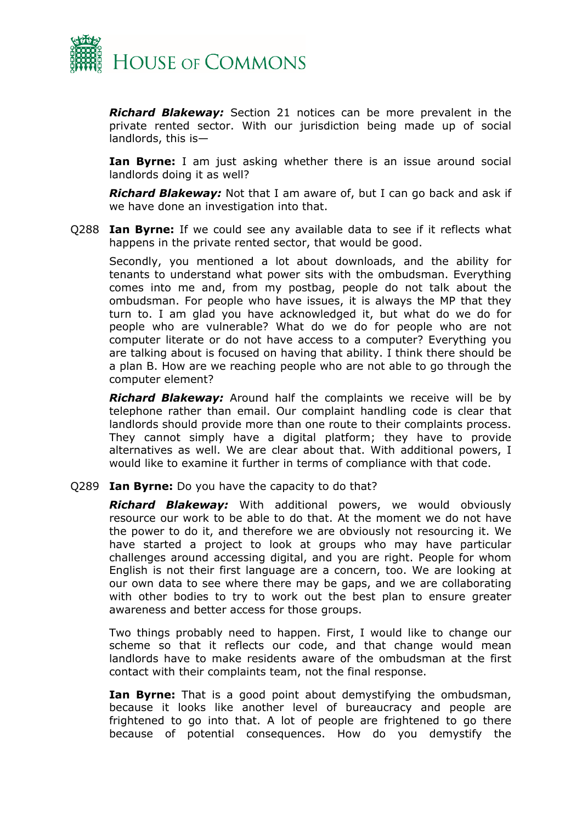

*Richard Blakeway:* Section 21 notices can be more prevalent in the private rented sector. With our jurisdiction being made up of social landlords, this is—

**Ian Byrne:** I am just asking whether there is an issue around social landlords doing it as well?

*Richard Blakeway:* Not that I am aware of, but I can go back and ask if we have done an investigation into that.

Q288 **Ian Byrne:** If we could see any available data to see if it reflects what happens in the private rented sector, that would be good.

Secondly, you mentioned a lot about downloads, and the ability for tenants to understand what power sits with the ombudsman. Everything comes into me and, from my postbag, people do not talk about the ombudsman. For people who have issues, it is always the MP that they turn to. I am glad you have acknowledged it, but what do we do for people who are vulnerable? What do we do for people who are not computer literate or do not have access to a computer? Everything you are talking about is focused on having that ability. I think there should be a plan B. How are we reaching people who are not able to go through the computer element?

*Richard Blakeway:* Around half the complaints we receive will be by telephone rather than email. Our complaint handling code is clear that landlords should provide more than one route to their complaints process. They cannot simply have a digital platform; they have to provide alternatives as well. We are clear about that. With additional powers, I would like to examine it further in terms of compliance with that code.

#### Q289 **Ian Byrne:** Do you have the capacity to do that?

*Richard Blakeway:* With additional powers, we would obviously resource our work to be able to do that. At the moment we do not have the power to do it, and therefore we are obviously not resourcing it. We have started a project to look at groups who may have particular challenges around accessing digital, and you are right. People for whom English is not their first language are a concern, too. We are looking at our own data to see where there may be gaps, and we are collaborating with other bodies to try to work out the best plan to ensure greater awareness and better access for those groups.

Two things probably need to happen. First, I would like to change our scheme so that it reflects our code, and that change would mean landlords have to make residents aware of the ombudsman at the first contact with their complaints team, not the final response.

**Ian Byrne:** That is a good point about demystifying the ombudsman, because it looks like another level of bureaucracy and people are frightened to go into that. A lot of people are frightened to go there because of potential consequences. How do you demystify the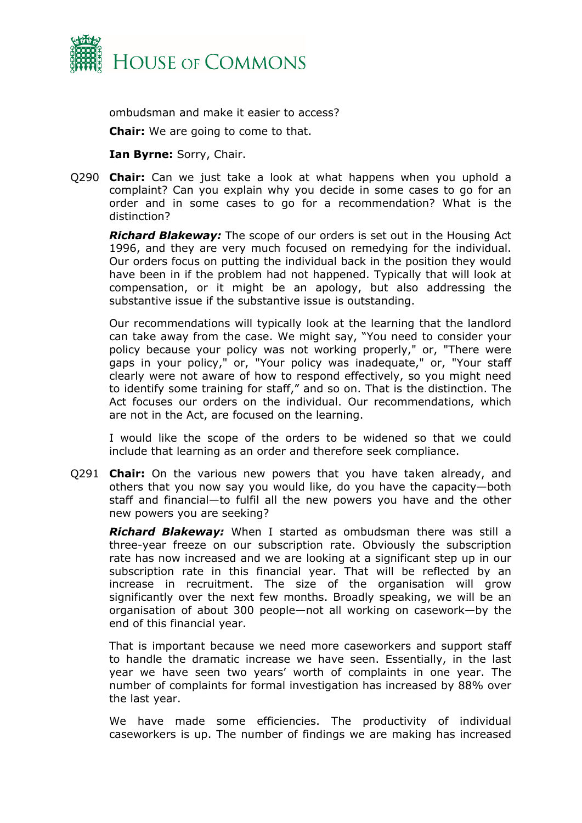

ombudsman and make it easier to access?

**Chair:** We are going to come to that.

**Ian Byrne:** Sorry, Chair.

Q290 **Chair:** Can we just take a look at what happens when you uphold a complaint? Can you explain why you decide in some cases to go for an order and in some cases to go for a recommendation? What is the distinction?

*Richard Blakeway:* The scope of our orders is set out in the Housing Act 1996, and they are very much focused on remedying for the individual. Our orders focus on putting the individual back in the position they would have been in if the problem had not happened. Typically that will look at compensation, or it might be an apology, but also addressing the substantive issue if the substantive issue is outstanding.

Our recommendations will typically look at the learning that the landlord can take away from the case. We might say, "You need to consider your policy because your policy was not working properly," or, "There were gaps in your policy," or, "Your policy was inadequate," or, "Your staff clearly were not aware of how to respond effectively, so you might need to identify some training for staff," and so on. That is the distinction. The Act focuses our orders on the individual. Our recommendations, which are not in the Act, are focused on the learning.

I would like the scope of the orders to be widened so that we could include that learning as an order and therefore seek compliance.

Q291 **Chair:** On the various new powers that you have taken already, and others that you now say you would like, do you have the capacity—both staff and financial—to fulfil all the new powers you have and the other new powers you are seeking?

*Richard Blakeway:* When I started as ombudsman there was still a three-year freeze on our subscription rate. Obviously the subscription rate has now increased and we are looking at a significant step up in our subscription rate in this financial year. That will be reflected by an increase in recruitment. The size of the organisation will grow significantly over the next few months. Broadly speaking, we will be an organisation of about 300 people—not all working on casework—by the end of this financial year.

That is important because we need more caseworkers and support staff to handle the dramatic increase we have seen. Essentially, in the last year we have seen two years' worth of complaints in one year. The number of complaints for formal investigation has increased by 88% over the last year.

We have made some efficiencies. The productivity of individual caseworkers is up. The number of findings we are making has increased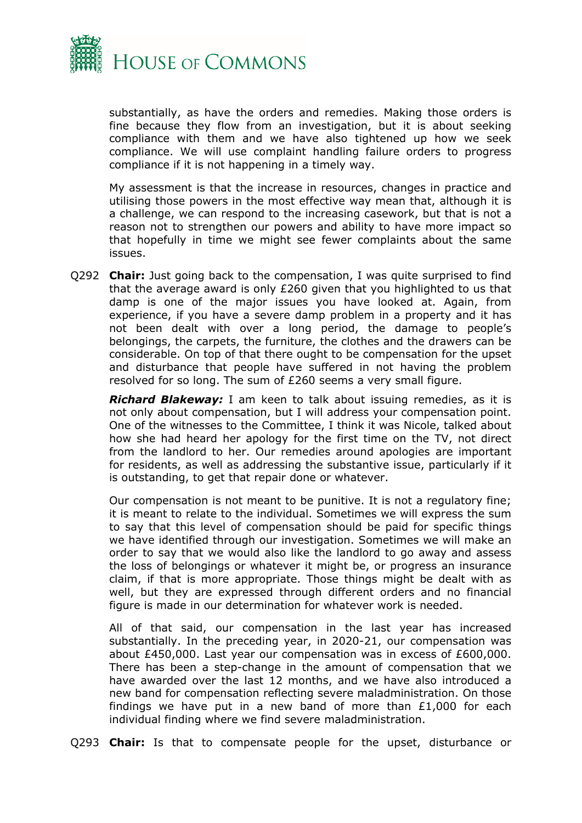

substantially, as have the orders and remedies. Making those orders is fine because they flow from an investigation, but it is about seeking compliance with them and we have also tightened up how we seek compliance. We will use complaint handling failure orders to progress compliance if it is not happening in a timely way.

My assessment is that the increase in resources, changes in practice and utilising those powers in the most effective way mean that, although it is a challenge, we can respond to the increasing casework, but that is not a reason not to strengthen our powers and ability to have more impact so that hopefully in time we might see fewer complaints about the same issues.

Q292 **Chair:** Just going back to the compensation, I was quite surprised to find that the average award is only £260 given that you highlighted to us that damp is one of the major issues you have looked at. Again, from experience, if you have a severe damp problem in a property and it has not been dealt with over a long period, the damage to people's belongings, the carpets, the furniture, the clothes and the drawers can be considerable. On top of that there ought to be compensation for the upset and disturbance that people have suffered in not having the problem resolved for so long. The sum of £260 seems a very small figure.

*Richard Blakeway:* I am keen to talk about issuing remedies, as it is not only about compensation, but I will address your compensation point. One of the witnesses to the Committee, I think it was Nicole, talked about how she had heard her apology for the first time on the TV, not direct from the landlord to her. Our remedies around apologies are important for residents, as well as addressing the substantive issue, particularly if it is outstanding, to get that repair done or whatever.

Our compensation is not meant to be punitive. It is not a regulatory fine; it is meant to relate to the individual. Sometimes we will express the sum to say that this level of compensation should be paid for specific things we have identified through our investigation. Sometimes we will make an order to say that we would also like the landlord to go away and assess the loss of belongings or whatever it might be, or progress an insurance claim, if that is more appropriate. Those things might be dealt with as well, but they are expressed through different orders and no financial figure is made in our determination for whatever work is needed.

All of that said, our compensation in the last year has increased substantially. In the preceding year, in 2020-21, our compensation was about £450,000. Last year our compensation was in excess of £600,000. There has been a step-change in the amount of compensation that we have awarded over the last 12 months, and we have also introduced a new band for compensation reflecting severe maladministration. On those findings we have put in a new band of more than £1,000 for each individual finding where we find severe maladministration.

Q293 **Chair:** Is that to compensate people for the upset, disturbance or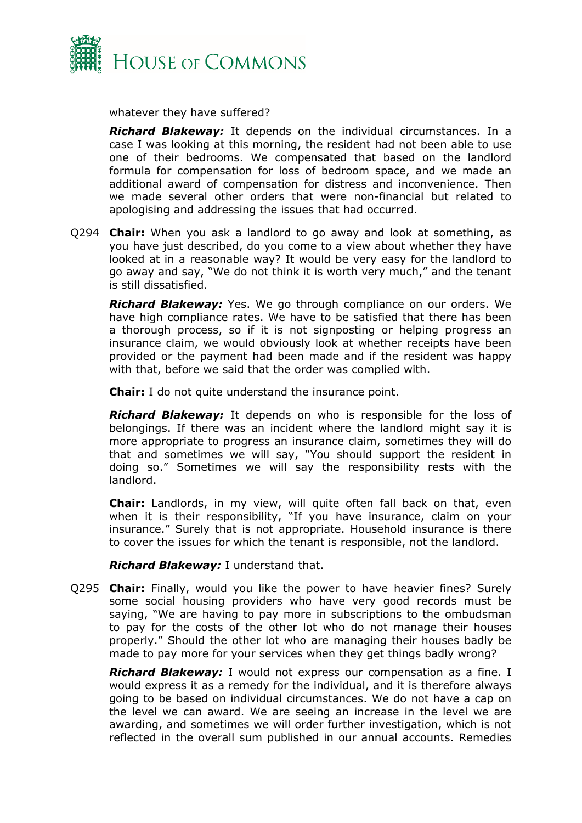

whatever they have suffered?

*Richard Blakeway:* It depends on the individual circumstances. In a case I was looking at this morning, the resident had not been able to use one of their bedrooms. We compensated that based on the landlord formula for compensation for loss of bedroom space, and we made an additional award of compensation for distress and inconvenience. Then we made several other orders that were non-financial but related to apologising and addressing the issues that had occurred.

Q294 **Chair:** When you ask a landlord to go away and look at something, as you have just described, do you come to a view about whether they have looked at in a reasonable way? It would be very easy for the landlord to go away and say, "We do not think it is worth very much," and the tenant is still dissatisfied.

*Richard Blakeway:* Yes. We go through compliance on our orders. We have high compliance rates. We have to be satisfied that there has been a thorough process, so if it is not signposting or helping progress an insurance claim, we would obviously look at whether receipts have been provided or the payment had been made and if the resident was happy with that, before we said that the order was complied with.

**Chair:** I do not quite understand the insurance point.

*Richard Blakeway:* It depends on who is responsible for the loss of belongings. If there was an incident where the landlord might say it is more appropriate to progress an insurance claim, sometimes they will do that and sometimes we will say, "You should support the resident in doing so." Sometimes we will say the responsibility rests with the landlord.

**Chair:** Landlords, in my view, will quite often fall back on that, even when it is their responsibility, "If you have insurance, claim on your insurance." Surely that is not appropriate. Household insurance is there to cover the issues for which the tenant is responsible, not the landlord.

*Richard Blakeway:* I understand that.

Q295 **Chair:** Finally, would you like the power to have heavier fines? Surely some social housing providers who have very good records must be saying, "We are having to pay more in subscriptions to the ombudsman to pay for the costs of the other lot who do not manage their houses properly." Should the other lot who are managing their houses badly be made to pay more for your services when they get things badly wrong?

*Richard Blakeway:* I would not express our compensation as a fine. I would express it as a remedy for the individual, and it is therefore always going to be based on individual circumstances. We do not have a cap on the level we can award. We are seeing an increase in the level we are awarding, and sometimes we will order further investigation, which is not reflected in the overall sum published in our annual accounts. Remedies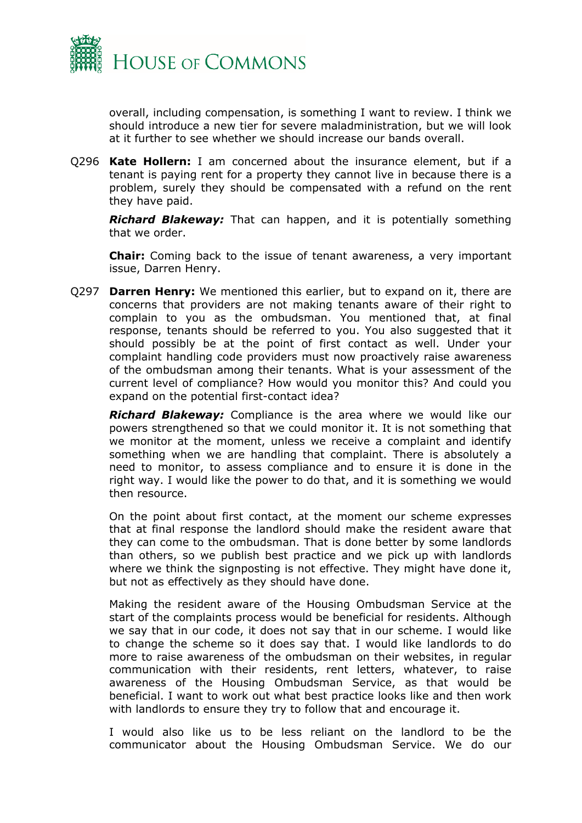

overall, including compensation, is something I want to review. I think we should introduce a new tier for severe maladministration, but we will look at it further to see whether we should increase our bands overall.

Q296 **Kate Hollern:** I am concerned about the insurance element, but if a tenant is paying rent for a property they cannot live in because there is a problem, surely they should be compensated with a refund on the rent they have paid.

*Richard Blakeway:* That can happen, and it is potentially something that we order.

**Chair:** Coming back to the issue of tenant awareness, a very important issue, Darren Henry.

Q297 **Darren Henry:** We mentioned this earlier, but to expand on it, there are concerns that providers are not making tenants aware of their right to complain to you as the ombudsman. You mentioned that, at final response, tenants should be referred to you. You also suggested that it should possibly be at the point of first contact as well. Under your complaint handling code providers must now proactively raise awareness of the ombudsman among their tenants. What is your assessment of the current level of compliance? How would you monitor this? And could you expand on the potential first-contact idea?

*Richard Blakeway:* Compliance is the area where we would like our powers strengthened so that we could monitor it. It is not something that we monitor at the moment, unless we receive a complaint and identify something when we are handling that complaint. There is absolutely a need to monitor, to assess compliance and to ensure it is done in the right way. I would like the power to do that, and it is something we would then resource.

On the point about first contact, at the moment our scheme expresses that at final response the landlord should make the resident aware that they can come to the ombudsman. That is done better by some landlords than others, so we publish best practice and we pick up with landlords where we think the signposting is not effective. They might have done it, but not as effectively as they should have done.

Making the resident aware of the Housing Ombudsman Service at the start of the complaints process would be beneficial for residents. Although we say that in our code, it does not say that in our scheme. I would like to change the scheme so it does say that. I would like landlords to do more to raise awareness of the ombudsman on their websites, in regular communication with their residents, rent letters, whatever, to raise awareness of the Housing Ombudsman Service, as that would be beneficial. I want to work out what best practice looks like and then work with landlords to ensure they try to follow that and encourage it.

I would also like us to be less reliant on the landlord to be the communicator about the Housing Ombudsman Service. We do our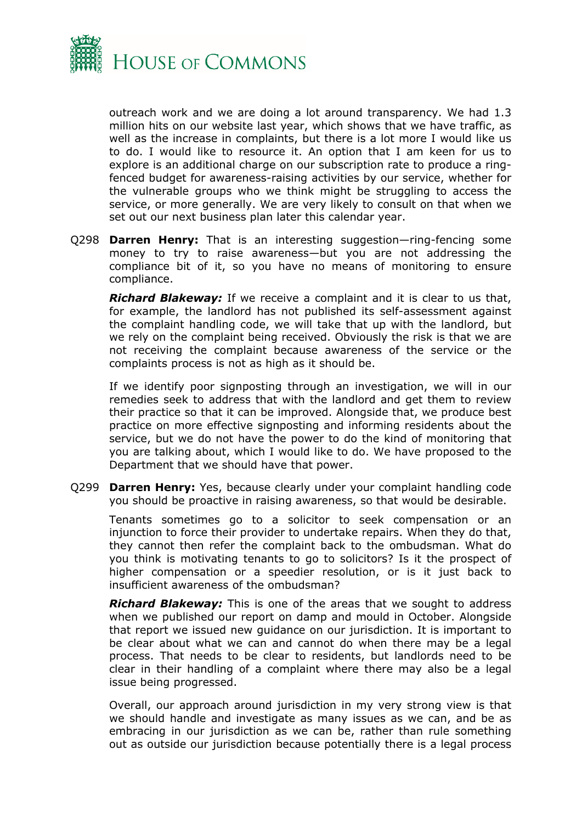

outreach work and we are doing a lot around transparency. We had 1.3 million hits on our website last year, which shows that we have traffic, as well as the increase in complaints, but there is a lot more I would like us to do. I would like to resource it. An option that I am keen for us to explore is an additional charge on our subscription rate to produce a ringfenced budget for awareness-raising activities by our service, whether for the vulnerable groups who we think might be struggling to access the service, or more generally. We are very likely to consult on that when we set out our next business plan later this calendar year.

Q298 **Darren Henry:** That is an interesting suggestion—ring-fencing some money to try to raise awareness—but you are not addressing the compliance bit of it, so you have no means of monitoring to ensure compliance.

*Richard Blakeway:* If we receive a complaint and it is clear to us that, for example, the landlord has not published its self-assessment against the complaint handling code, we will take that up with the landlord, but we rely on the complaint being received. Obviously the risk is that we are not receiving the complaint because awareness of the service or the complaints process is not as high as it should be.

If we identify poor signposting through an investigation, we will in our remedies seek to address that with the landlord and get them to review their practice so that it can be improved. Alongside that, we produce best practice on more effective signposting and informing residents about the service, but we do not have the power to do the kind of monitoring that you are talking about, which I would like to do. We have proposed to the Department that we should have that power.

Q299 **Darren Henry:** Yes, because clearly under your complaint handling code you should be proactive in raising awareness, so that would be desirable.

Tenants sometimes go to a solicitor to seek compensation or an injunction to force their provider to undertake repairs. When they do that, they cannot then refer the complaint back to the ombudsman. What do you think is motivating tenants to go to solicitors? Is it the prospect of higher compensation or a speedier resolution, or is it just back to insufficient awareness of the ombudsman?

*Richard Blakeway:* This is one of the areas that we sought to address when we published our report on damp and mould in October. Alongside that report we issued new guidance on our jurisdiction. It is important to be clear about what we can and cannot do when there may be a legal process. That needs to be clear to residents, but landlords need to be clear in their handling of a complaint where there may also be a legal issue being progressed.

Overall, our approach around jurisdiction in my very strong view is that we should handle and investigate as many issues as we can, and be as embracing in our jurisdiction as we can be, rather than rule something out as outside our jurisdiction because potentially there is a legal process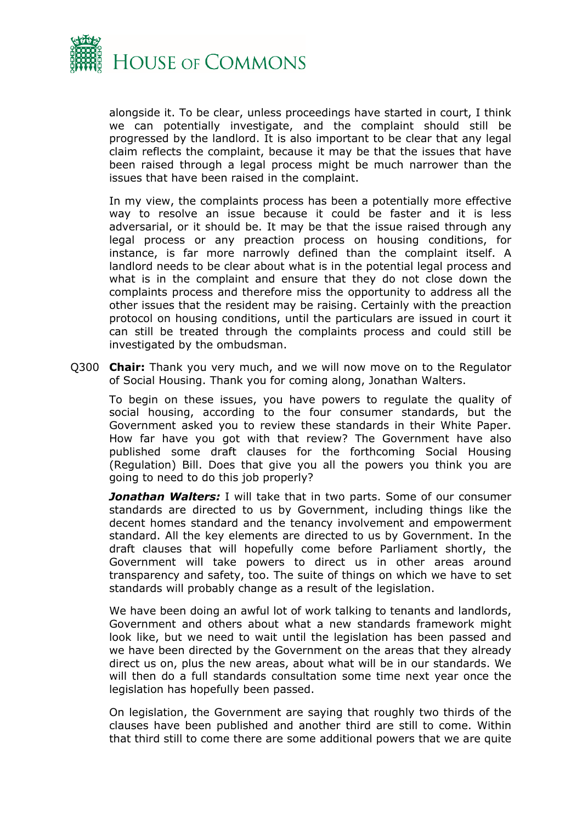

alongside it. To be clear, unless proceedings have started in court, I think we can potentially investigate, and the complaint should still be progressed by the landlord. It is also important to be clear that any legal claim reflects the complaint, because it may be that the issues that have been raised through a legal process might be much narrower than the issues that have been raised in the complaint.

In my view, the complaints process has been a potentially more effective way to resolve an issue because it could be faster and it is less adversarial, or it should be. It may be that the issue raised through any legal process or any preaction process on housing conditions, for instance, is far more narrowly defined than the complaint itself. A landlord needs to be clear about what is in the potential legal process and what is in the complaint and ensure that they do not close down the complaints process and therefore miss the opportunity to address all the other issues that the resident may be raising. Certainly with the preaction protocol on housing conditions, until the particulars are issued in court it can still be treated through the complaints process and could still be investigated by the ombudsman.

Q300 **Chair:** Thank you very much, and we will now move on to the Regulator of Social Housing. Thank you for coming along, Jonathan Walters.

To begin on these issues, you have powers to regulate the quality of social housing, according to the four consumer standards, but the Government asked you to review these standards in their White Paper. How far have you got with that review? The Government have also published some draft clauses for the forthcoming Social Housing (Regulation) Bill. Does that give you all the powers you think you are going to need to do this job properly?

*Jonathan Walters:* I will take that in two parts. Some of our consumer standards are directed to us by Government, including things like the decent homes standard and the tenancy involvement and empowerment standard. All the key elements are directed to us by Government. In the draft clauses that will hopefully come before Parliament shortly, the Government will take powers to direct us in other areas around transparency and safety, too. The suite of things on which we have to set standards will probably change as a result of the legislation.

We have been doing an awful lot of work talking to tenants and landlords, Government and others about what a new standards framework might look like, but we need to wait until the legislation has been passed and we have been directed by the Government on the areas that they already direct us on, plus the new areas, about what will be in our standards. We will then do a full standards consultation some time next year once the legislation has hopefully been passed.

On legislation, the Government are saying that roughly two thirds of the clauses have been published and another third are still to come. Within that third still to come there are some additional powers that we are quite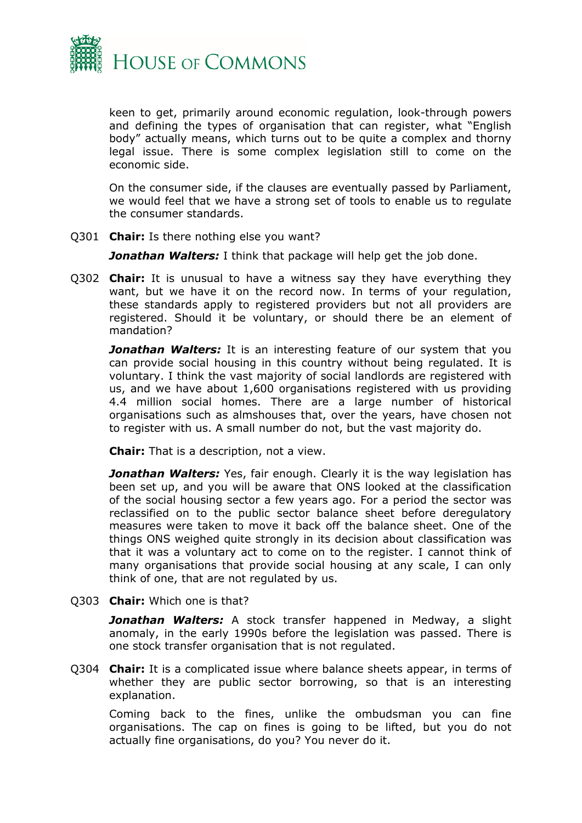

keen to get, primarily around economic regulation, look-through powers and defining the types of organisation that can register, what "English body" actually means, which turns out to be quite a complex and thorny legal issue. There is some complex legislation still to come on the economic side.

On the consumer side, if the clauses are eventually passed by Parliament, we would feel that we have a strong set of tools to enable us to regulate the consumer standards.

Q301 **Chair:** Is there nothing else you want?

**Jonathan Walters:** I think that package will help get the job done.

Q302 **Chair:** It is unusual to have a witness say they have everything they want, but we have it on the record now. In terms of your regulation, these standards apply to registered providers but not all providers are registered. Should it be voluntary, or should there be an element of mandation?

*Jonathan Walters:* It is an interesting feature of our system that you can provide social housing in this country without being regulated. It is voluntary. I think the vast majority of social landlords are registered with us, and we have about 1,600 organisations registered with us providing 4.4 million social homes. There are a large number of historical organisations such as almshouses that, over the years, have chosen not to register with us. A small number do not, but the vast majority do.

**Chair:** That is a description, not a view.

**Jonathan Walters:** Yes, fair enough. Clearly it is the way legislation has been set up, and you will be aware that ONS looked at the classification of the social housing sector a few years ago. For a period the sector was reclassified on to the public sector balance sheet before deregulatory measures were taken to move it back off the balance sheet. One of the things ONS weighed quite strongly in its decision about classification was that it was a voluntary act to come on to the register. I cannot think of many organisations that provide social housing at any scale, I can only think of one, that are not regulated by us.

Q303 **Chair:** Which one is that?

*Jonathan Walters:* A stock transfer happened in Medway, a slight anomaly, in the early 1990s before the legislation was passed. There is one stock transfer organisation that is not regulated.

Q304 **Chair:** It is a complicated issue where balance sheets appear, in terms of whether they are public sector borrowing, so that is an interesting explanation.

Coming back to the fines, unlike the ombudsman you can fine organisations. The cap on fines is going to be lifted, but you do not actually fine organisations, do you? You never do it.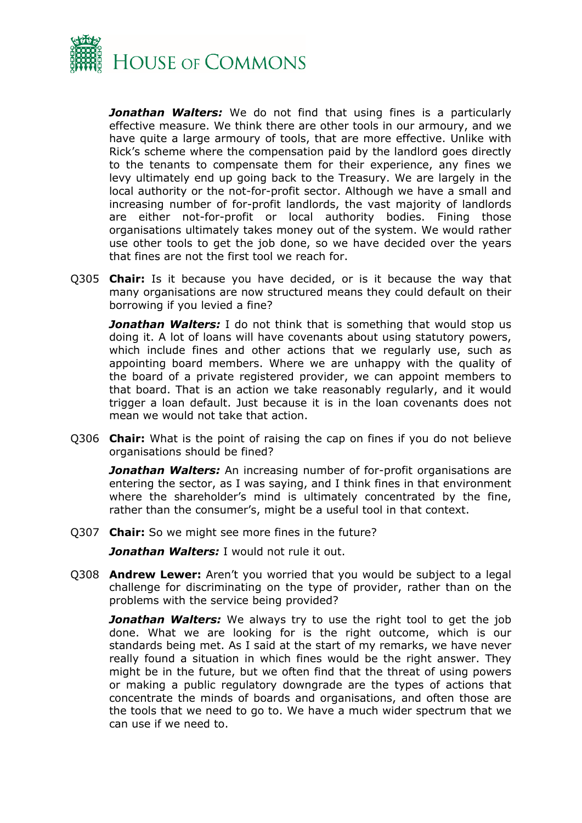

*Jonathan Walters:* We do not find that using fines is a particularly effective measure. We think there are other tools in our armoury, and we have quite a large armoury of tools, that are more effective. Unlike with Rick's scheme where the compensation paid by the landlord goes directly to the tenants to compensate them for their experience, any fines we levy ultimately end up going back to the Treasury. We are largely in the local authority or the not-for-profit sector. Although we have a small and increasing number of for-profit landlords, the vast majority of landlords are either not-for-profit or local authority bodies. Fining those organisations ultimately takes money out of the system. We would rather use other tools to get the job done, so we have decided over the years that fines are not the first tool we reach for.

Q305 **Chair:** Is it because you have decided, or is it because the way that many organisations are now structured means they could default on their borrowing if you levied a fine?

**Jonathan Walters:** I do not think that is something that would stop us doing it. A lot of loans will have covenants about using statutory powers, which include fines and other actions that we regularly use, such as appointing board members. Where we are unhappy with the quality of the board of a private registered provider, we can appoint members to that board. That is an action we take reasonably regularly, and it would trigger a loan default. Just because it is in the loan covenants does not mean we would not take that action.

Q306 **Chair:** What is the point of raising the cap on fines if you do not believe organisations should be fined?

**Jonathan Walters:** An increasing number of for-profit organisations are entering the sector, as I was saying, and I think fines in that environment where the shareholder's mind is ultimately concentrated by the fine, rather than the consumer's, might be a useful tool in that context.

Q307 **Chair:** So we might see more fines in the future?

*Jonathan Walters:* I would not rule it out.

Q308 **Andrew Lewer:** Aren't you worried that you would be subject to a legal challenge for discriminating on the type of provider, rather than on the problems with the service being provided?

**Jonathan Walters:** We always try to use the right tool to get the job done. What we are looking for is the right outcome, which is our standards being met. As I said at the start of my remarks, we have never really found a situation in which fines would be the right answer. They might be in the future, but we often find that the threat of using powers or making a public regulatory downgrade are the types of actions that concentrate the minds of boards and organisations, and often those are the tools that we need to go to. We have a much wider spectrum that we can use if we need to.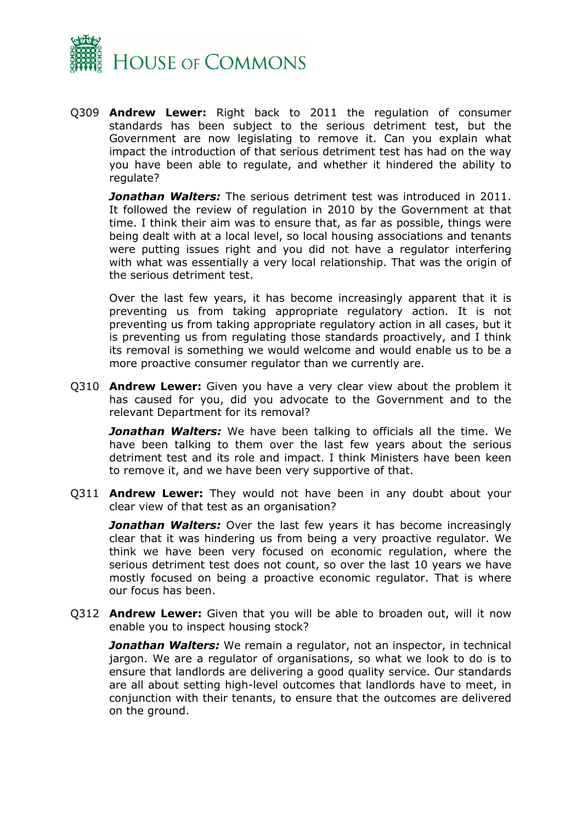

Q309 **Andrew Lewer:** Right back to 2011 the regulation of consumer standards has been subject to the serious detriment test, but the Government are now legislating to remove it. Can you explain what impact the introduction of that serious detriment test has had on the way you have been able to regulate, and whether it hindered the ability to regulate?

*Jonathan Walters:* The serious detriment test was introduced in 2011. It followed the review of regulation in 2010 by the Government at that time. I think their aim was to ensure that, as far as possible, things were being dealt with at a local level, so local housing associations and tenants were putting issues right and you did not have a regulator interfering with what was essentially a very local relationship. That was the origin of the serious detriment test.

Over the last few years, it has become increasingly apparent that it is preventing us from taking appropriate regulatory action. It is not preventing us from taking appropriate regulatory action in all cases, but it is preventing us from regulating those standards proactively, and I think its removal is something we would welcome and would enable us to be a more proactive consumer regulator than we currently are.

Q310 **Andrew Lewer:** Given you have a very clear view about the problem it has caused for you, did you advocate to the Government and to the relevant Department for its removal?

*Jonathan Walters:* We have been talking to officials all the time. We have been talking to them over the last few years about the serious detriment test and its role and impact. I think Ministers have been keen to remove it, and we have been very supportive of that.

Q311 **Andrew Lewer:** They would not have been in any doubt about your clear view of that test as an organisation?

**Jonathan Walters:** Over the last few years it has become increasingly clear that it was hindering us from being a very proactive regulator. We think we have been very focused on economic regulation, where the serious detriment test does not count, so over the last 10 years we have mostly focused on being a proactive economic regulator. That is where our focus has been.

Q312 **Andrew Lewer:** Given that you will be able to broaden out, will it now enable you to inspect housing stock?

*Jonathan Walters:* We remain a regulator, not an inspector, in technical jargon. We are a regulator of organisations, so what we look to do is to ensure that landlords are delivering a good quality service. Our standards are all about setting high-level outcomes that landlords have to meet, in conjunction with their tenants, to ensure that the outcomes are delivered on the ground.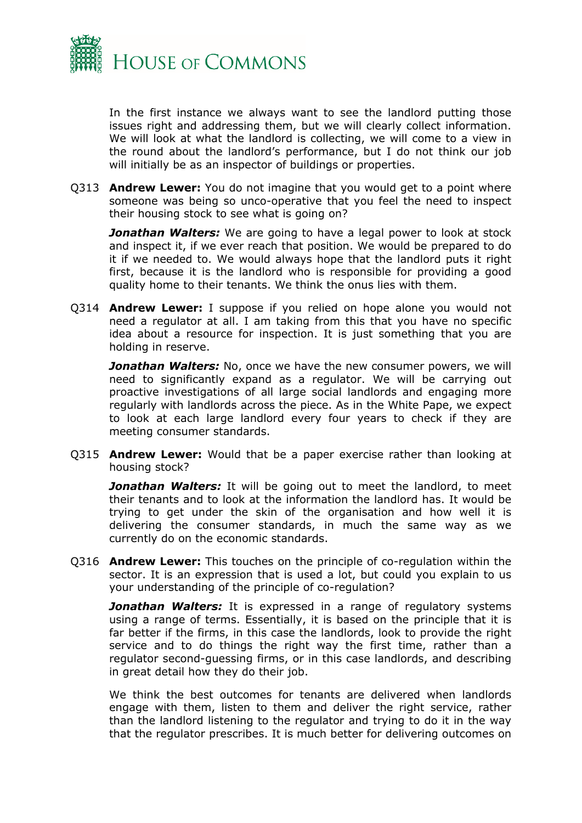

In the first instance we always want to see the landlord putting those issues right and addressing them, but we will clearly collect information. We will look at what the landlord is collecting, we will come to a view in the round about the landlord's performance, but I do not think our job will initially be as an inspector of buildings or properties.

Q313 **Andrew Lewer:** You do not imagine that you would get to a point where someone was being so unco-operative that you feel the need to inspect their housing stock to see what is going on?

*Jonathan Walters:* We are going to have a legal power to look at stock and inspect it, if we ever reach that position. We would be prepared to do it if we needed to. We would always hope that the landlord puts it right first, because it is the landlord who is responsible for providing a good quality home to their tenants. We think the onus lies with them.

Q314 **Andrew Lewer:** I suppose if you relied on hope alone you would not need a regulator at all. I am taking from this that you have no specific idea about a resource for inspection. It is just something that you are holding in reserve.

*Jonathan Walters:* No, once we have the new consumer powers, we will need to significantly expand as a regulator. We will be carrying out proactive investigations of all large social landlords and engaging more regularly with landlords across the piece. As in the White Pape, we expect to look at each large landlord every four years to check if they are meeting consumer standards.

Q315 **Andrew Lewer:** Would that be a paper exercise rather than looking at housing stock?

*Jonathan Walters:* It will be going out to meet the landlord, to meet their tenants and to look at the information the landlord has. It would be trying to get under the skin of the organisation and how well it is delivering the consumer standards, in much the same way as we currently do on the economic standards.

Q316 **Andrew Lewer:** This touches on the principle of co-regulation within the sector. It is an expression that is used a lot, but could you explain to us your understanding of the principle of co-regulation?

**Jonathan Walters:** It is expressed in a range of regulatory systems using a range of terms. Essentially, it is based on the principle that it is far better if the firms, in this case the landlords, look to provide the right service and to do things the right way the first time, rather than a regulator second-guessing firms, or in this case landlords, and describing in great detail how they do their job.

We think the best outcomes for tenants are delivered when landlords engage with them, listen to them and deliver the right service, rather than the landlord listening to the regulator and trying to do it in the way that the regulator prescribes. It is much better for delivering outcomes on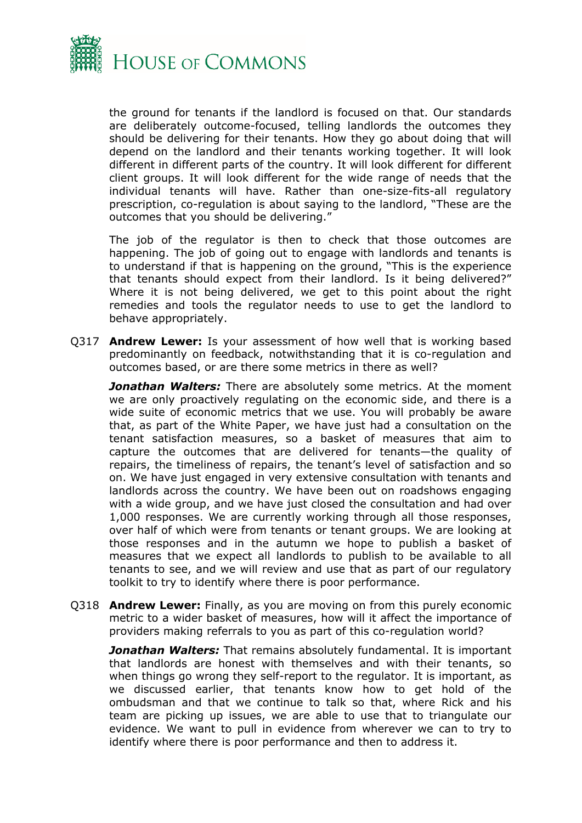

the ground for tenants if the landlord is focused on that. Our standards are deliberately outcome-focused, telling landlords the outcomes they should be delivering for their tenants. How they go about doing that will depend on the landlord and their tenants working together. It will look different in different parts of the country. It will look different for different client groups. It will look different for the wide range of needs that the individual tenants will have. Rather than one-size-fits-all regulatory prescription, co-regulation is about saying to the landlord, "These are the outcomes that you should be delivering."

The job of the regulator is then to check that those outcomes are happening. The job of going out to engage with landlords and tenants is to understand if that is happening on the ground, "This is the experience that tenants should expect from their landlord. Is it being delivered?" Where it is not being delivered, we get to this point about the right remedies and tools the regulator needs to use to get the landlord to behave appropriately.

Q317 **Andrew Lewer:** Is your assessment of how well that is working based predominantly on feedback, notwithstanding that it is co-regulation and outcomes based, or are there some metrics in there as well?

*Jonathan Walters:* There are absolutely some metrics. At the moment we are only proactively regulating on the economic side, and there is a wide suite of economic metrics that we use. You will probably be aware that, as part of the White Paper, we have just had a consultation on the tenant satisfaction measures, so a basket of measures that aim to capture the outcomes that are delivered for tenants—the quality of repairs, the timeliness of repairs, the tenant's level of satisfaction and so on. We have just engaged in very extensive consultation with tenants and landlords across the country. We have been out on roadshows engaging with a wide group, and we have just closed the consultation and had over 1,000 responses. We are currently working through all those responses, over half of which were from tenants or tenant groups. We are looking at those responses and in the autumn we hope to publish a basket of measures that we expect all landlords to publish to be available to all tenants to see, and we will review and use that as part of our regulatory toolkit to try to identify where there is poor performance.

Q318 **Andrew Lewer:** Finally, as you are moving on from this purely economic metric to a wider basket of measures, how will it affect the importance of providers making referrals to you as part of this co-regulation world?

*Jonathan Walters:* That remains absolutely fundamental. It is important that landlords are honest with themselves and with their tenants, so when things go wrong they self-report to the regulator. It is important, as we discussed earlier, that tenants know how to get hold of the ombudsman and that we continue to talk so that, where Rick and his team are picking up issues, we are able to use that to triangulate our evidence. We want to pull in evidence from wherever we can to try to identify where there is poor performance and then to address it.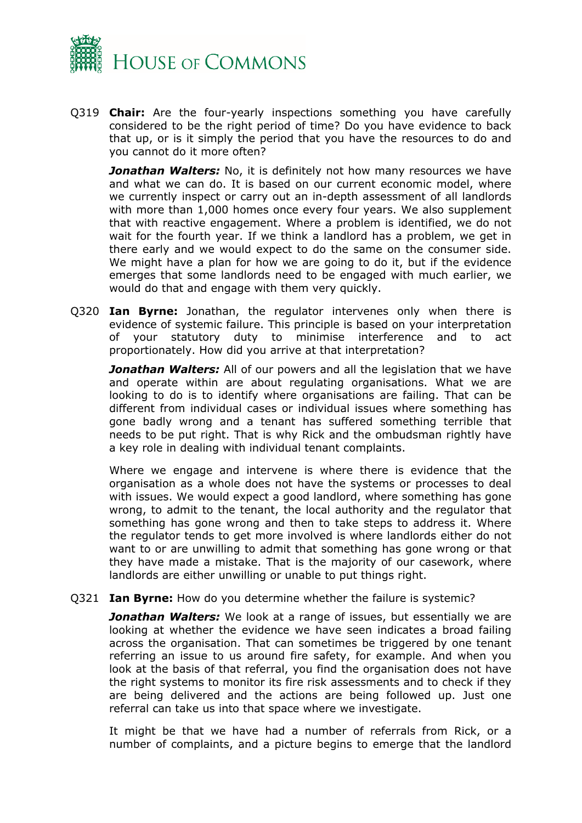

Q319 **Chair:** Are the four-yearly inspections something you have carefully considered to be the right period of time? Do you have evidence to back that up, or is it simply the period that you have the resources to do and you cannot do it more often?

**Jonathan Walters:** No, it is definitely not how many resources we have and what we can do. It is based on our current economic model, where we currently inspect or carry out an in-depth assessment of all landlords with more than 1,000 homes once every four years. We also supplement that with reactive engagement. Where a problem is identified, we do not wait for the fourth year. If we think a landlord has a problem, we get in there early and we would expect to do the same on the consumer side. We might have a plan for how we are going to do it, but if the evidence emerges that some landlords need to be engaged with much earlier, we would do that and engage with them very quickly.

Q320 **Ian Byrne:** Jonathan, the regulator intervenes only when there is evidence of systemic failure. This principle is based on your interpretation of your statutory duty to minimise interference and to act proportionately. How did you arrive at that interpretation?

*Jonathan Walters:* All of our powers and all the legislation that we have and operate within are about regulating organisations. What we are looking to do is to identify where organisations are failing. That can be different from individual cases or individual issues where something has gone badly wrong and a tenant has suffered something terrible that needs to be put right. That is why Rick and the ombudsman rightly have a key role in dealing with individual tenant complaints.

Where we engage and intervene is where there is evidence that the organisation as a whole does not have the systems or processes to deal with issues. We would expect a good landlord, where something has gone wrong, to admit to the tenant, the local authority and the regulator that something has gone wrong and then to take steps to address it. Where the regulator tends to get more involved is where landlords either do not want to or are unwilling to admit that something has gone wrong or that they have made a mistake. That is the majority of our casework, where landlords are either unwilling or unable to put things right.

Q321 **Ian Byrne:** How do you determine whether the failure is systemic?

*Jonathan Walters:* We look at a range of issues, but essentially we are looking at whether the evidence we have seen indicates a broad failing across the organisation. That can sometimes be triggered by one tenant referring an issue to us around fire safety, for example. And when you look at the basis of that referral, you find the organisation does not have the right systems to monitor its fire risk assessments and to check if they are being delivered and the actions are being followed up. Just one referral can take us into that space where we investigate.

It might be that we have had a number of referrals from Rick, or a number of complaints, and a picture begins to emerge that the landlord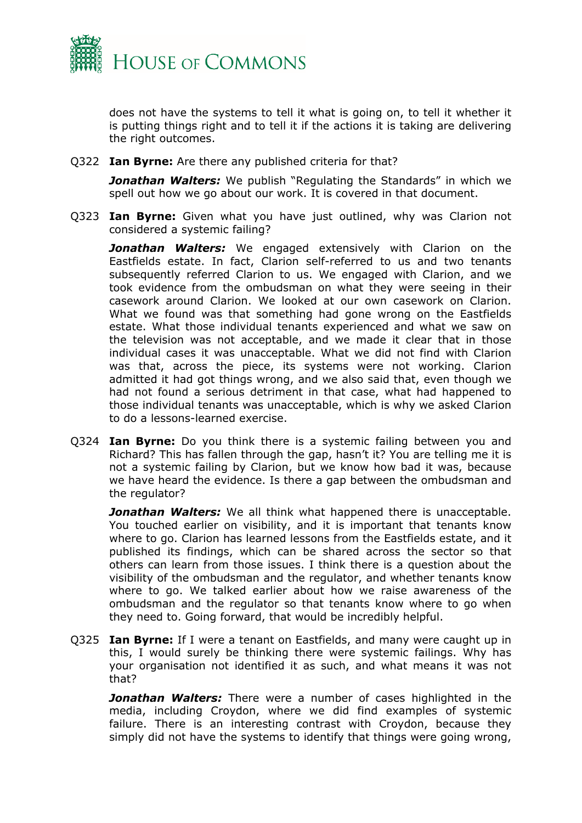

does not have the systems to tell it what is going on, to tell it whether it is putting things right and to tell it if the actions it is taking are delivering the right outcomes.

Q322 **Ian Byrne:** Are there any published criteria for that?

*Jonathan Walters:* We publish "Regulating the Standards" in which we spell out how we go about our work. It is covered in that document.

Q323 **Ian Byrne:** Given what you have just outlined, why was Clarion not considered a systemic failing?

*Jonathan Walters:* We engaged extensively with Clarion on the Eastfields estate. In fact, Clarion self-referred to us and two tenants subsequently referred Clarion to us. We engaged with Clarion, and we took evidence from the ombudsman on what they were seeing in their casework around Clarion. We looked at our own casework on Clarion. What we found was that something had gone wrong on the Eastfields estate. What those individual tenants experienced and what we saw on the television was not acceptable, and we made it clear that in those individual cases it was unacceptable. What we did not find with Clarion was that, across the piece, its systems were not working. Clarion admitted it had got things wrong, and we also said that, even though we had not found a serious detriment in that case, what had happened to those individual tenants was unacceptable, which is why we asked Clarion to do a lessons-learned exercise.

Q324 **Ian Byrne:** Do you think there is a systemic failing between you and Richard? This has fallen through the gap, hasn't it? You are telling me it is not a systemic failing by Clarion, but we know how bad it was, because we have heard the evidence. Is there a gap between the ombudsman and the regulator?

*Jonathan Walters:* We all think what happened there is unacceptable. You touched earlier on visibility, and it is important that tenants know where to go. Clarion has learned lessons from the Eastfields estate, and it published its findings, which can be shared across the sector so that others can learn from those issues. I think there is a question about the visibility of the ombudsman and the regulator, and whether tenants know where to go. We talked earlier about how we raise awareness of the ombudsman and the regulator so that tenants know where to go when they need to. Going forward, that would be incredibly helpful.

Q325 **Ian Byrne:** If I were a tenant on Eastfields, and many were caught up in this, I would surely be thinking there were systemic failings. Why has your organisation not identified it as such, and what means it was not that?

*Jonathan Walters:* There were a number of cases highlighted in the media, including Croydon, where we did find examples of systemic failure. There is an interesting contrast with Croydon, because they simply did not have the systems to identify that things were going wrong,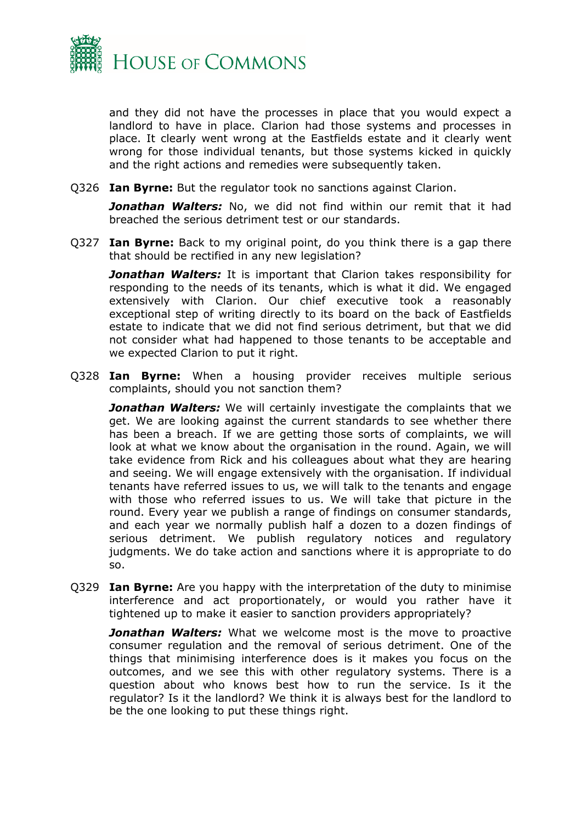

and they did not have the processes in place that you would expect a landlord to have in place. Clarion had those systems and processes in place. It clearly went wrong at the Eastfields estate and it clearly went wrong for those individual tenants, but those systems kicked in quickly and the right actions and remedies were subsequently taken.

Q326 **Ian Byrne:** But the regulator took no sanctions against Clarion.

*Jonathan Walters:* No, we did not find within our remit that it had breached the serious detriment test or our standards.

Q327 **Ian Byrne:** Back to my original point, do you think there is a gap there that should be rectified in any new legislation?

*Jonathan Walters:* It is important that Clarion takes responsibility for responding to the needs of its tenants, which is what it did. We engaged extensively with Clarion. Our chief executive took a reasonably exceptional step of writing directly to its board on the back of Eastfields estate to indicate that we did not find serious detriment, but that we did not consider what had happened to those tenants to be acceptable and we expected Clarion to put it right.

Q328 **Ian Byrne:** When a housing provider receives multiple serious complaints, should you not sanction them?

*Jonathan Walters:* We will certainly investigate the complaints that we get. We are looking against the current standards to see whether there has been a breach. If we are getting those sorts of complaints, we will look at what we know about the organisation in the round. Again, we will take evidence from Rick and his colleagues about what they are hearing and seeing. We will engage extensively with the organisation. If individual tenants have referred issues to us, we will talk to the tenants and engage with those who referred issues to us. We will take that picture in the round. Every year we publish a range of findings on consumer standards, and each year we normally publish half a dozen to a dozen findings of serious detriment. We publish regulatory notices and regulatory judgments. We do take action and sanctions where it is appropriate to do so.

Q329 **Ian Byrne:** Are you happy with the interpretation of the duty to minimise interference and act proportionately, or would you rather have it tightened up to make it easier to sanction providers appropriately?

*Jonathan Walters:* What we welcome most is the move to proactive consumer regulation and the removal of serious detriment. One of the things that minimising interference does is it makes you focus on the outcomes, and we see this with other regulatory systems. There is a question about who knows best how to run the service. Is it the regulator? Is it the landlord? We think it is always best for the landlord to be the one looking to put these things right.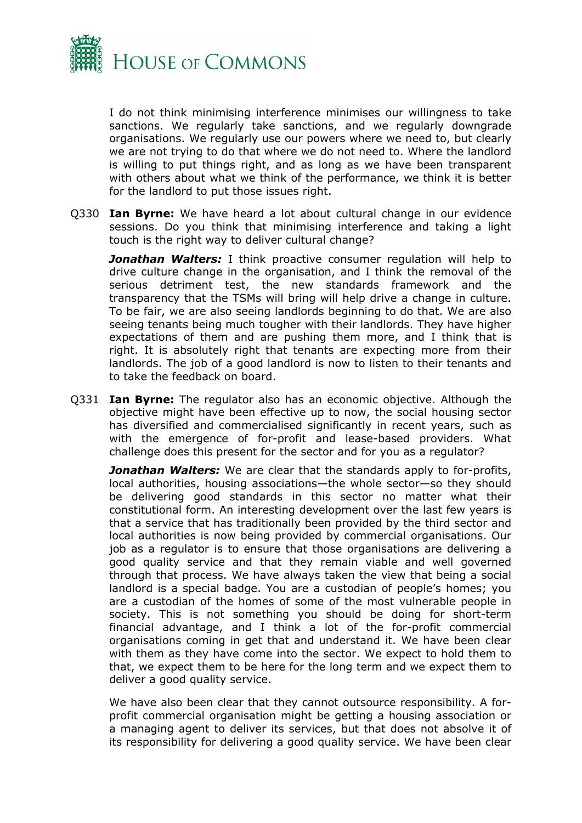

I do not think minimising interference minimises our willingness to take sanctions. We regularly take sanctions, and we regularly downgrade organisations. We regularly use our powers where we need to, but clearly we are not trying to do that where we do not need to. Where the landlord is willing to put things right, and as long as we have been transparent with others about what we think of the performance, we think it is better for the landlord to put those issues right.

Q330 **Ian Byrne:** We have heard a lot about cultural change in our evidence sessions. Do you think that minimising interference and taking a light touch is the right way to deliver cultural change?

*Jonathan Walters:* I think proactive consumer regulation will help to drive culture change in the organisation, and I think the removal of the serious detriment test, the new standards framework and the transparency that the TSMs will bring will help drive a change in culture. To be fair, we are also seeing landlords beginning to do that. We are also seeing tenants being much tougher with their landlords. They have higher expectations of them and are pushing them more, and I think that is right. It is absolutely right that tenants are expecting more from their landlords. The job of a good landlord is now to listen to their tenants and to take the feedback on board.

Q331 **Ian Byrne:** The regulator also has an economic objective. Although the objective might have been effective up to now, the social housing sector has diversified and commercialised significantly in recent years, such as with the emergence of for-profit and lease-based providers. What challenge does this present for the sector and for you as a regulator?

*Jonathan Walters:* We are clear that the standards apply to for-profits, local authorities, housing associations—the whole sector—so they should be delivering good standards in this sector no matter what their constitutional form. An interesting development over the last few years is that a service that has traditionally been provided by the third sector and local authorities is now being provided by commercial organisations. Our job as a regulator is to ensure that those organisations are delivering a good quality service and that they remain viable and well governed through that process. We have always taken the view that being a social landlord is a special badge. You are a custodian of people's homes; you are a custodian of the homes of some of the most vulnerable people in society. This is not something you should be doing for short-term financial advantage, and I think a lot of the for-profit commercial organisations coming in get that and understand it. We have been clear with them as they have come into the sector. We expect to hold them to that, we expect them to be here for the long term and we expect them to deliver a good quality service.

We have also been clear that they cannot outsource responsibility. A forprofit commercial organisation might be getting a housing association or a managing agent to deliver its services, but that does not absolve it of its responsibility for delivering a good quality service. We have been clear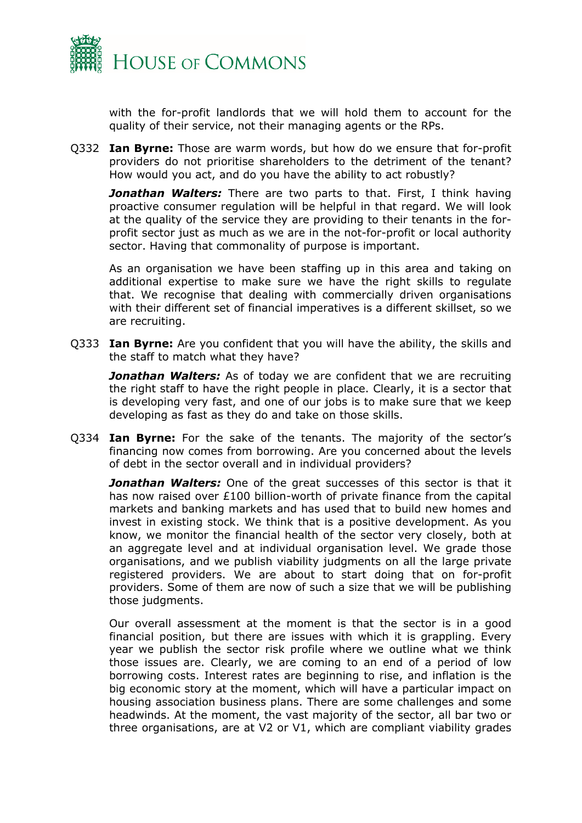

with the for-profit landlords that we will hold them to account for the quality of their service, not their managing agents or the RPs.

Q332 **Ian Byrne:** Those are warm words, but how do we ensure that for-profit providers do not prioritise shareholders to the detriment of the tenant? How would you act, and do you have the ability to act robustly?

*Jonathan Walters:* There are two parts to that. First, I think having proactive consumer regulation will be helpful in that regard. We will look at the quality of the service they are providing to their tenants in the forprofit sector just as much as we are in the not-for-profit or local authority sector. Having that commonality of purpose is important.

As an organisation we have been staffing up in this area and taking on additional expertise to make sure we have the right skills to regulate that. We recognise that dealing with commercially driven organisations with their different set of financial imperatives is a different skillset, so we are recruiting.

Q333 **Ian Byrne:** Are you confident that you will have the ability, the skills and the staff to match what they have?

**Jonathan Walters:** As of today we are confident that we are recruiting the right staff to have the right people in place. Clearly, it is a sector that is developing very fast, and one of our jobs is to make sure that we keep developing as fast as they do and take on those skills.

Q334 **Ian Byrne:** For the sake of the tenants. The majority of the sector's financing now comes from borrowing. Are you concerned about the levels of debt in the sector overall and in individual providers?

*Jonathan Walters:* One of the great successes of this sector is that it has now raised over £100 billion-worth of private finance from the capital markets and banking markets and has used that to build new homes and invest in existing stock. We think that is a positive development. As you know, we monitor the financial health of the sector very closely, both at an aggregate level and at individual organisation level. We grade those organisations, and we publish viability judgments on all the large private registered providers. We are about to start doing that on for-profit providers. Some of them are now of such a size that we will be publishing those judgments.

Our overall assessment at the moment is that the sector is in a good financial position, but there are issues with which it is grappling. Every year we publish the sector risk profile where we outline what we think those issues are. Clearly, we are coming to an end of a period of low borrowing costs. Interest rates are beginning to rise, and inflation is the big economic story at the moment, which will have a particular impact on housing association business plans. There are some challenges and some headwinds. At the moment, the vast majority of the sector, all bar two or three organisations, are at V2 or V1, which are compliant viability grades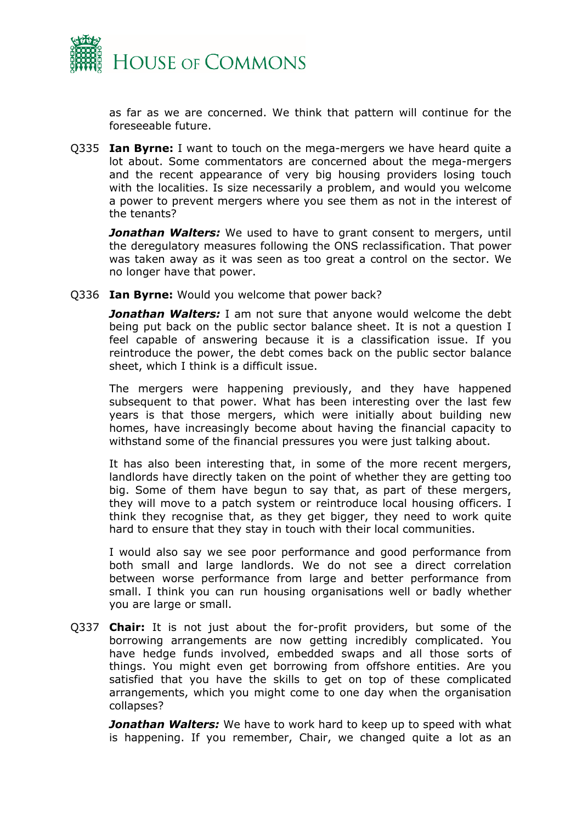

as far as we are concerned. We think that pattern will continue for the foreseeable future.

Q335 **Ian Byrne:** I want to touch on the mega-mergers we have heard quite a lot about. Some commentators are concerned about the mega-mergers and the recent appearance of very big housing providers losing touch with the localities. Is size necessarily a problem, and would you welcome a power to prevent mergers where you see them as not in the interest of the tenants?

*Jonathan Walters:* We used to have to grant consent to mergers, until the deregulatory measures following the ONS reclassification. That power was taken away as it was seen as too great a control on the sector. We no longer have that power.

Q336 **Ian Byrne:** Would you welcome that power back?

*Jonathan Walters:* I am not sure that anyone would welcome the debt being put back on the public sector balance sheet. It is not a question I feel capable of answering because it is a classification issue. If you reintroduce the power, the debt comes back on the public sector balance sheet, which I think is a difficult issue.

The mergers were happening previously, and they have happened subsequent to that power. What has been interesting over the last few years is that those mergers, which were initially about building new homes, have increasingly become about having the financial capacity to withstand some of the financial pressures you were just talking about.

It has also been interesting that, in some of the more recent mergers, landlords have directly taken on the point of whether they are getting too big. Some of them have begun to say that, as part of these mergers, they will move to a patch system or reintroduce local housing officers. I think they recognise that, as they get bigger, they need to work quite hard to ensure that they stay in touch with their local communities.

I would also say we see poor performance and good performance from both small and large landlords. We do not see a direct correlation between worse performance from large and better performance from small. I think you can run housing organisations well or badly whether you are large or small.

Q337 **Chair:** It is not just about the for-profit providers, but some of the borrowing arrangements are now getting incredibly complicated. You have hedge funds involved, embedded swaps and all those sorts of things. You might even get borrowing from offshore entities. Are you satisfied that you have the skills to get on top of these complicated arrangements, which you might come to one day when the organisation collapses?

*Jonathan Walters:* We have to work hard to keep up to speed with what is happening. If you remember, Chair, we changed quite a lot as an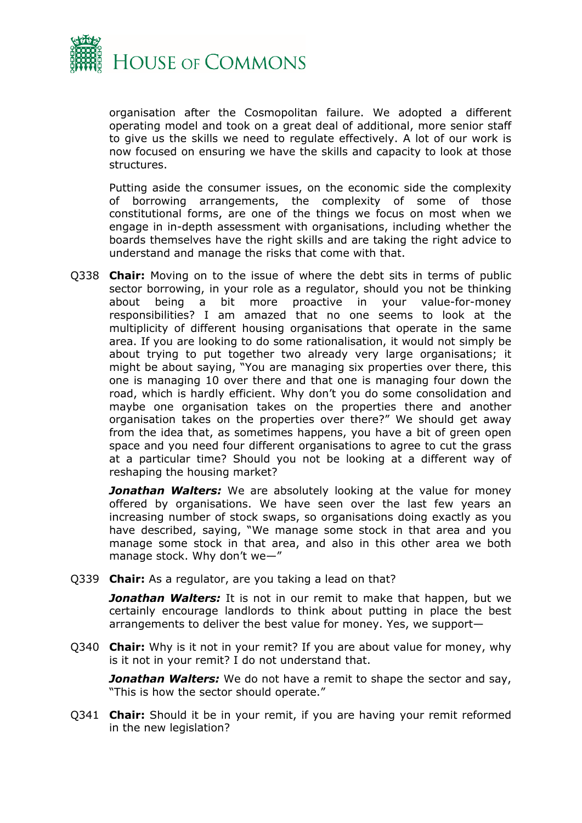

organisation after the Cosmopolitan failure. We adopted a different operating model and took on a great deal of additional, more senior staff to give us the skills we need to regulate effectively. A lot of our work is now focused on ensuring we have the skills and capacity to look at those structures.

Putting aside the consumer issues, on the economic side the complexity of borrowing arrangements, the complexity of some of those constitutional forms, are one of the things we focus on most when we engage in in-depth assessment with organisations, including whether the boards themselves have the right skills and are taking the right advice to understand and manage the risks that come with that.

Q338 **Chair:** Moving on to the issue of where the debt sits in terms of public sector borrowing, in your role as a regulator, should you not be thinking about being a bit more proactive in your value-for-money responsibilities? I am amazed that no one seems to look at the multiplicity of different housing organisations that operate in the same area. If you are looking to do some rationalisation, it would not simply be about trying to put together two already very large organisations; it might be about saying, "You are managing six properties over there, this one is managing 10 over there and that one is managing four down the road, which is hardly efficient. Why don't you do some consolidation and maybe one organisation takes on the properties there and another organisation takes on the properties over there?" We should get away from the idea that, as sometimes happens, you have a bit of green open space and you need four different organisations to agree to cut the grass at a particular time? Should you not be looking at a different way of reshaping the housing market?

**Jonathan Walters:** We are absolutely looking at the value for money offered by organisations. We have seen over the last few years an increasing number of stock swaps, so organisations doing exactly as you have described, saying, "We manage some stock in that area and you manage some stock in that area, and also in this other area we both manage stock. Why don't we—"

Q339 **Chair:** As a regulator, are you taking a lead on that?

*Jonathan Walters:* It is not in our remit to make that happen, but we certainly encourage landlords to think about putting in place the best arrangements to deliver the best value for money. Yes, we support—

Q340 **Chair:** Why is it not in your remit? If you are about value for money, why is it not in your remit? I do not understand that.

*Jonathan Walters:* We do not have a remit to shape the sector and say, "This is how the sector should operate."

Q341 **Chair:** Should it be in your remit, if you are having your remit reformed in the new legislation?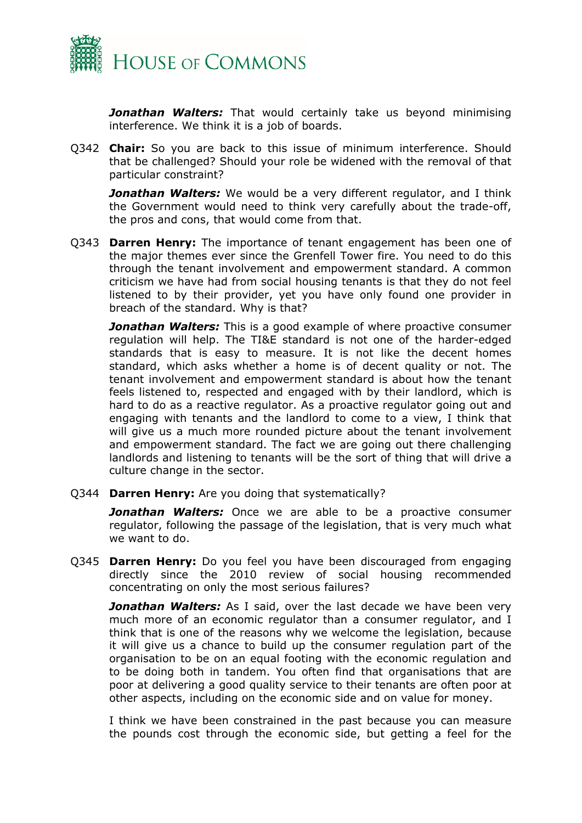

*Jonathan Walters:* That would certainly take us beyond minimising interference. We think it is a job of boards.

Q342 **Chair:** So you are back to this issue of minimum interference. Should that be challenged? Should your role be widened with the removal of that particular constraint?

*Jonathan Walters:* We would be a very different regulator, and I think the Government would need to think very carefully about the trade-off, the pros and cons, that would come from that.

Q343 **Darren Henry:** The importance of tenant engagement has been one of the major themes ever since the Grenfell Tower fire. You need to do this through the tenant involvement and empowerment standard. A common criticism we have had from social housing tenants is that they do not feel listened to by their provider, yet you have only found one provider in breach of the standard. Why is that?

*Jonathan Walters:* This is a good example of where proactive consumer regulation will help. The TI&E standard is not one of the harder-edged standards that is easy to measure. It is not like the decent homes standard, which asks whether a home is of decent quality or not. The tenant involvement and empowerment standard is about how the tenant feels listened to, respected and engaged with by their landlord, which is hard to do as a reactive regulator. As a proactive regulator going out and engaging with tenants and the landlord to come to a view, I think that will give us a much more rounded picture about the tenant involvement and empowerment standard. The fact we are going out there challenging landlords and listening to tenants will be the sort of thing that will drive a culture change in the sector.

Q344 **Darren Henry:** Are you doing that systematically?

*Jonathan Walters:* Once we are able to be a proactive consumer regulator, following the passage of the legislation, that is very much what we want to do.

Q345 **Darren Henry:** Do you feel you have been discouraged from engaging directly since the 2010 review of social housing recommended concentrating on only the most serious failures?

*Jonathan Walters:* As I said, over the last decade we have been very much more of an economic regulator than a consumer regulator, and I think that is one of the reasons why we welcome the legislation, because it will give us a chance to build up the consumer regulation part of the organisation to be on an equal footing with the economic regulation and to be doing both in tandem. You often find that organisations that are poor at delivering a good quality service to their tenants are often poor at other aspects, including on the economic side and on value for money.

I think we have been constrained in the past because you can measure the pounds cost through the economic side, but getting a feel for the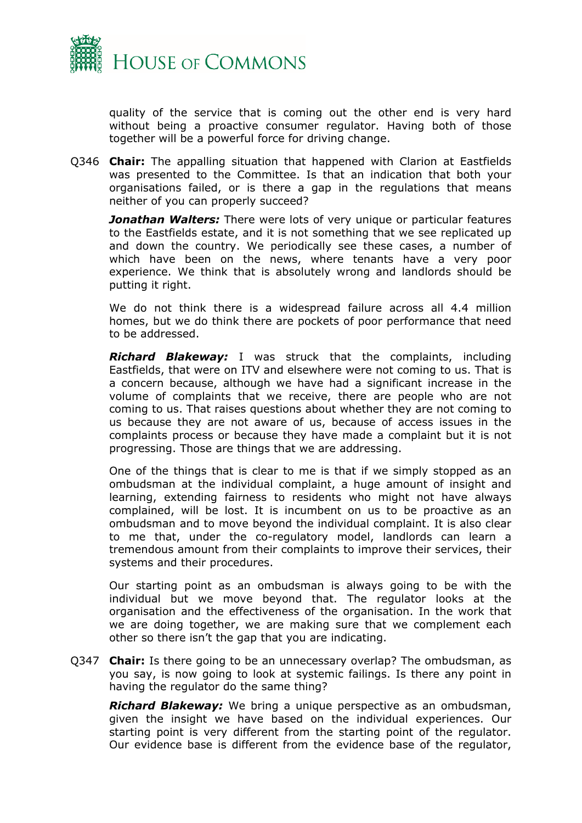

quality of the service that is coming out the other end is very hard without being a proactive consumer regulator. Having both of those together will be a powerful force for driving change.

Q346 **Chair:** The appalling situation that happened with Clarion at Eastfields was presented to the Committee. Is that an indication that both your organisations failed, or is there a gap in the regulations that means neither of you can properly succeed?

*Jonathan Walters:* There were lots of very unique or particular features to the Eastfields estate, and it is not something that we see replicated up and down the country. We periodically see these cases, a number of which have been on the news, where tenants have a very poor experience. We think that is absolutely wrong and landlords should be putting it right.

We do not think there is a widespread failure across all 4.4 million homes, but we do think there are pockets of poor performance that need to be addressed.

*Richard Blakeway:* I was struck that the complaints, including Eastfields, that were on ITV and elsewhere were not coming to us. That is a concern because, although we have had a significant increase in the volume of complaints that we receive, there are people who are not coming to us. That raises questions about whether they are not coming to us because they are not aware of us, because of access issues in the complaints process or because they have made a complaint but it is not progressing. Those are things that we are addressing.

One of the things that is clear to me is that if we simply stopped as an ombudsman at the individual complaint, a huge amount of insight and learning, extending fairness to residents who might not have always complained, will be lost. It is incumbent on us to be proactive as an ombudsman and to move beyond the individual complaint. It is also clear to me that, under the co-regulatory model, landlords can learn a tremendous amount from their complaints to improve their services, their systems and their procedures.

Our starting point as an ombudsman is always going to be with the individual but we move beyond that. The regulator looks at the organisation and the effectiveness of the organisation. In the work that we are doing together, we are making sure that we complement each other so there isn't the gap that you are indicating.

Q347 **Chair:** Is there going to be an unnecessary overlap? The ombudsman, as you say, is now going to look at systemic failings. Is there any point in having the regulator do the same thing?

*Richard Blakeway:* We bring a unique perspective as an ombudsman, given the insight we have based on the individual experiences. Our starting point is very different from the starting point of the regulator. Our evidence base is different from the evidence base of the regulator,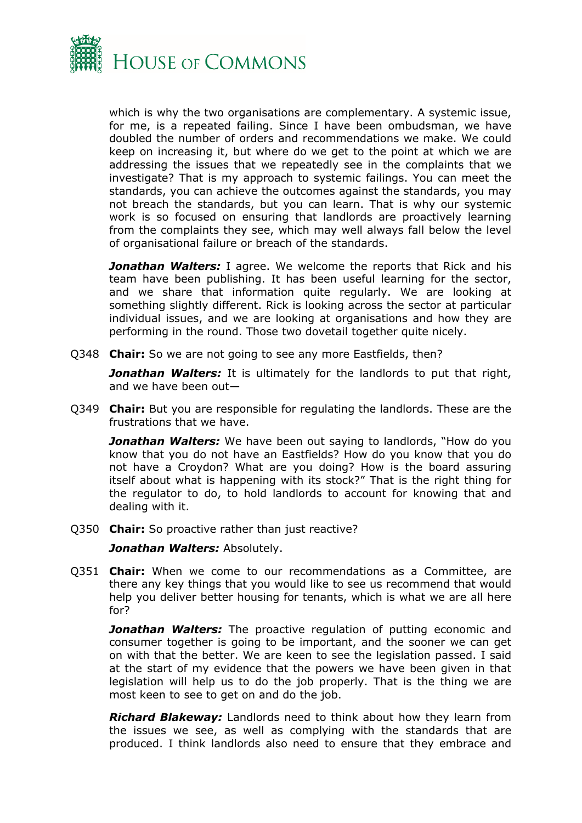

which is why the two organisations are complementary. A systemic issue, for me, is a repeated failing. Since I have been ombudsman, we have doubled the number of orders and recommendations we make. We could keep on increasing it, but where do we get to the point at which we are addressing the issues that we repeatedly see in the complaints that we investigate? That is my approach to systemic failings. You can meet the standards, you can achieve the outcomes against the standards, you may not breach the standards, but you can learn. That is why our systemic work is so focused on ensuring that landlords are proactively learning from the complaints they see, which may well always fall below the level of organisational failure or breach of the standards.

**Jonathan Walters:** I agree. We welcome the reports that Rick and his team have been publishing. It has been useful learning for the sector, and we share that information quite regularly. We are looking at something slightly different. Rick is looking across the sector at particular individual issues, and we are looking at organisations and how they are performing in the round. Those two dovetail together quite nicely.

Q348 **Chair:** So we are not going to see any more Eastfields, then?

*Jonathan Walters:* It is ultimately for the landlords to put that right, and we have been out—

Q349 **Chair:** But you are responsible for regulating the landlords. These are the frustrations that we have.

*Jonathan Walters:* We have been out saying to landlords, "How do you know that you do not have an Eastfields? How do you know that you do not have a Croydon? What are you doing? How is the board assuring itself about what is happening with its stock?" That is the right thing for the regulator to do, to hold landlords to account for knowing that and dealing with it.

Q350 **Chair:** So proactive rather than just reactive?

*Jonathan Walters:* Absolutely.

Q351 **Chair:** When we come to our recommendations as a Committee, are there any key things that you would like to see us recommend that would help you deliver better housing for tenants, which is what we are all here for?

**Jonathan Walters:** The proactive regulation of putting economic and consumer together is going to be important, and the sooner we can get on with that the better. We are keen to see the legislation passed. I said at the start of my evidence that the powers we have been given in that legislation will help us to do the job properly. That is the thing we are most keen to see to get on and do the job.

*Richard Blakeway:* Landlords need to think about how they learn from the issues we see, as well as complying with the standards that are produced. I think landlords also need to ensure that they embrace and